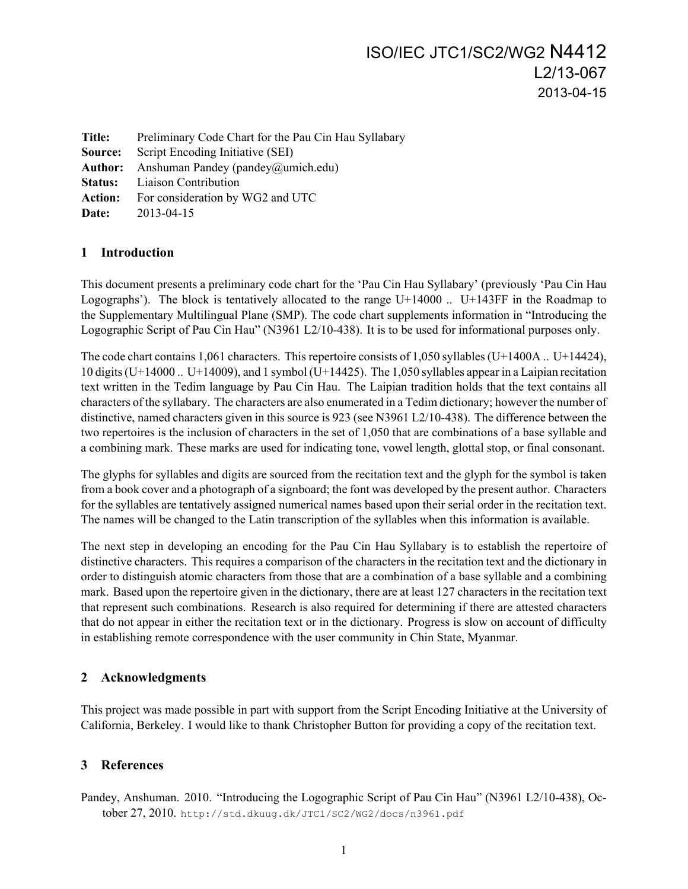| Preliminary Code Chart for the Pau Cin Hau Syllabary       |
|------------------------------------------------------------|
| Script Encoding Initiative (SEI)<br>Source:                |
| <b>Author:</b> Anshuman Pandey (pandey $\omega$ umich.edu) |
| <b>Status:</b> Liaison Contribution                        |
| For consideration by WG2 and UTC                           |
| 2013-04-15                                                 |
|                                                            |

## **1 Introduction**

This document presents a preliminary code chart for the 'Pau Cin Hau Syllabary' (previously 'Pau Cin Hau Logographs'). The block is tentatively allocated to the range U+14000 .. U+143FF in the Roadmap to the Supplementary Multilingual Plane (SMP). The code chart supplements information in "Introducing the Logographic Script of Pau Cin Hau" (N3961 L2/10-438). It is to be used for informational purposes only.

The code chart contains 1,061 characters. This repertoire consists of 1,050 syllables (U+1400A .. U+14424), 10 digits (U+14000 .. U+14009), and 1 symbol (U+14425). The 1,050 syllables appear in a Laipian recitation text written in the Tedim language by Pau Cin Hau. The Laipian tradition holds that the text contains all characters of the syllabary. The characters are also enumerated in a Tedim dictionary; however the number of distinctive, named characters given in this source is 923 (see N3961 L2/10-438). The difference between the two repertoires is the inclusion of characters in the set of 1,050 that are combinations of a base syllable and a combining mark. These marks are used for indicating tone, vowel length, glottal stop, or final consonant.

The glyphs for syllables and digits are sourced from the recitation text and the glyph for the symbol is taken from a book cover and a photograph of a signboard; the font was developed by the present author. Characters for the syllables are tentatively assigned numerical names based upon their serial order in the recitation text. The names will be changed to the Latin transcription of the syllables when this information is available.

The next step in developing an encoding for the Pau Cin Hau Syllabary is to establish the repertoire of distinctive characters. This requires a comparison of the characters in the recitation text and the dictionary in order to distinguish atomic characters from those that are a combination of a base syllable and a combining mark. Based upon the repertoire given in the dictionary, there are at least 127 characters in the recitation text that represent such combinations. Research is also required for determining if there are attested characters that do not appear in either the recitation text or in the dictionary. Progress is slow on account of difficulty in establishing remote correspondence with the user community in Chin State, Myanmar.

## **2 Acknowledgments**

This project was made possible in part with support from the Script Encoding Initiative at the University of California, Berkeley. I would like to thank Christopher Button for providing a copy of the recitation text.

## **3 References**

Pandey, Anshuman. 2010. "Introducing the Logographic Script of Pau Cin Hau" (N3961 L2/10-438), October 27, 2010. http://std.dkuug.dk/JTC1/SC2/WG2/docs/n3961.pdf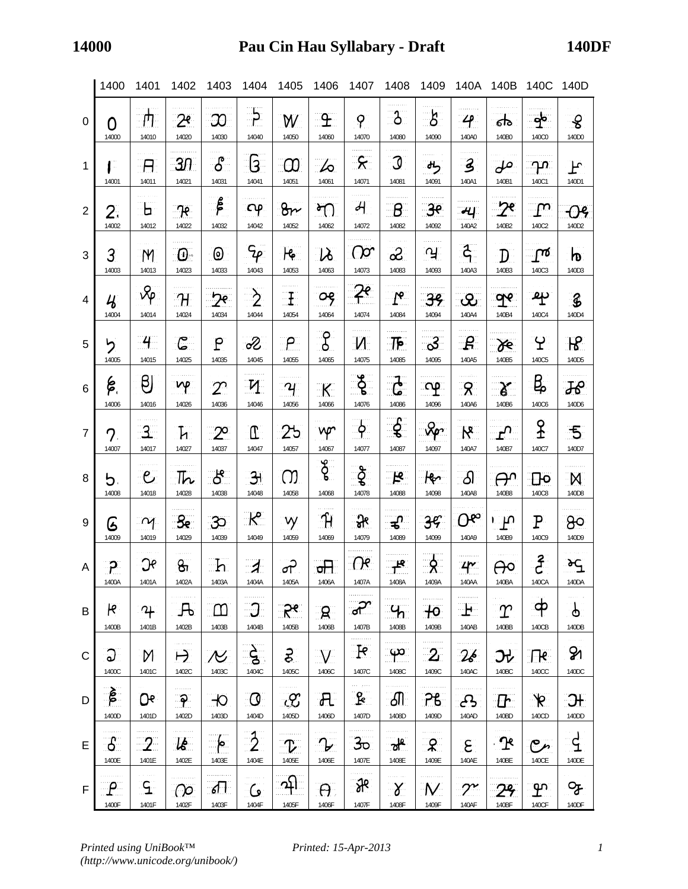|                 | 1400                                | 1401                 | 1402                       | 1403                 | 1404                             | 1405                   | 1406                   | 1407                              | 1408                      | 1409                    | 140A                             | 140B                             | 140C                   | 140D                               |
|-----------------|-------------------------------------|----------------------|----------------------------|----------------------|----------------------------------|------------------------|------------------------|-----------------------------------|---------------------------|-------------------------|----------------------------------|----------------------------------|------------------------|------------------------------------|
| 0               | O                                   | 円                    | 2 <sup>e</sup>             | <u>ဘ</u>             | $\frac{1}{2}$                    | W                      | $\mathbf{F}$           | $\mathcal{P}$                     | $\mathfrak{z}$            | $\mathcal{S}$           | $\mathcal{L}$                    | ढो                               | $\frac{1}{2}$          | $\mathcal{S}$                      |
|                 | 14000                               | 14010                | 14020                      | 14030                | 14040                            | 14050                  | 14060                  | 14070                             | 14080                     | 14090                   | 140A0                            | 140B0                            | 140C0                  | 140D0                              |
| $\mathbf{1}$    | 1 -                                 | -A                   | 31                         | $\delta$             | ဒြ                               | $\infty$               | 6                      | <u>्ह्</u>                        | <u> J</u>                 | راه                     | $\mathbf{3}$                     | ملى                              | ിവ                     | ᡫ᠍                                 |
|                 | 14001                               | 14011                | 14021                      | 14031                | 14041                            | 14051                  | 14061                  | 14071                             | 14081                     | 14091                   | 140A1                            | 140B1                            | 140C1                  | 140D1                              |
| $\overline{2}$  | 2.<br>14002                         | Ь.<br>14012          | 7e<br>14022                | $\beta$<br>14032     | $\mathsf{C}\varphi$<br>14042     | 8r<br>14052            | پو<br>14062            | $\overline{\mathcal{A}}$<br>14072 | ු ප<br>14082              | <u>್ರೇ</u><br>14092     | म्प<br>140A2                     | 140B2                            | ႃႍၮႜ<br>140C2          | တန<br>140D2                        |
| 3               | 3                                   | M                    | $\boldsymbol{\Theta}$ .    | 0                    | $\mathcal{G}_{\rho}$             | <u>le</u>              | $\mathcal{V}$          | (၂၀                               | တိ                        | ്പ്                     | $\ddot{\xi}$                     | $\mathbf{D}^-$                   | $\mathsf{L}$           | $\mathbf{p}$                       |
|                 | 14003                               | 14013                | 14023                      | 14033                | 14043                            | 14053                  | 14063                  | 14073                             | 14083                     | 14093                   | 140A3                            | 140B3                            | 140C3                  | 140D3                              |
| $\overline{4}$  | $\mathcal{U}_{\boldsymbol{\delta}}$ | $\sqrt{\ }$          | $\boldsymbol{\mathcal{H}}$ | $2^e$                | $\grave{2}$                      | $\mathbb{E}$           | ٥ę                     | $\overline{\mathcal{X}}^e$        | $\mathbf{I}^\mathbf{e}$   | 39                      | $\mathcal{Q}_1$                  | <u>၅</u> $\epsilon$              | ক্                     | $\mathbf{\hat{z}}$                 |
|                 | 14004                               | 14014                | 14024                      | 14034                | 14044                            | 14054                  | 14064                  | 14074                             | 14084                     | 14094                   | 140A4                            | 140B4                            | 140C4                  | 140D4                              |
| 5               | ל                                   | $-4$                 | ا کا                       | $\mathsf{P}$         | 2                                | ၣ                      | $\frac{1}{6}$          | M                                 | <u> :TF</u>               | <u>್ರ</u>               | $\mathcal{L}$                    | H                                | ၦႜ                     | R                                  |
|                 | 14005                               | 14015                | 14025                      | 14035                | 14045                            | 14055                  | 14065                  | 14075                             | 14085                     | 14095                   | 140A5                            | 140B5                            | 140C5                  | 140D5                              |
| $6\phantom{1}6$ | كم                                  | $\boldsymbol{\beta}$ | np                         | $2^\circ$            | $\mathbf{M}$                     | $\boldsymbol{\gamma}$  | K                      | $\frac{1}{2}$                     | $\mathbf{r}$              | ာပ္                     | $\mathcal{R}$                    | $\boldsymbol{\delta}$            | В,                     | $\mathcal{H}$                      |
|                 | 14006                               | 14016                | 14026                      | 14036                | 14046                            | 14056                  | 14066                  | 14076                             | 14086                     | 14096                   | 140A6                            | 140B6                            | 140C6                  | 140D6                              |
| $\overline{7}$  | 7.                                  | $\mathbf{3}$         | $\mathbf{h}$               | $\mathbb{Z}^{\circ}$ | $\mathbb T$                      | 25                     | vp                     | <u>ှဝ</u>                         | $-\xi$                    | $\sqrt{2}$              | $\mathcal{R}$                    | $\mathbf{r}^{\mathbf{O}^{\top}}$ | ያ<br>ተ                 | <u>్</u>                           |
|                 | 14007                               | 14017                | 14027                      | 14037                | 14047                            | 14057                  | 14067                  | 14077                             | 14087                     | 14097                   | 140A7                            | 140B7                            | 140C7                  | 140D7                              |
| 8               | 5.                                  | $\epsilon$           | $\mathbb{L}$               | ුපි                  | $\mathbf{H}$                     | M                      | g                      | ्ट्रे                             | ्री                       | He                      | தி                               | ൙                                | $\Box$                 | M                                  |
|                 | 14008                               | 14018                | 14028                      | 14038                | 14048                            | 14058                  | 14068                  | 14078                             | 14088                     | 14098                   | 140A8                            | 140B8                            | 140C8                  | 140D8                              |
| 9               | فا                                  | $\sim$               | $\mathcal{S}_\mathbf{R}$   | 30                   | $\mathcal{R}$                    | νy                     | ျာ                     | <u>୍ବନ</u>                        | ੜੀ                        | 3 <sup>c</sup>          | $O^{\infty}$                     | ுட                               | ${\tt P}$              | ႙ၟၜ                                |
|                 | 14009                               | 14019                | 14029                      | 14039                | 14049                            | 14059                  | 14069                  | 14079                             | 14089                     | 14099                   | 140A9                            | 140B9                            | 140C9                  | 140D9                              |
| $\overline{A}$  | ၣႜ                                  | Эf                   | <u>မ</u> ျ                 | ∷ط∷                  | $\mathcal{A}$                    | ൙                      | जी                     | $\Omega^e$                        | <u>੍ਰਾਂ ਦਾ</u>            | <u>्ठे</u>              | $4^{\prime\prime}$               | ႕၀                               | දි                     | ᡈᢩ                                 |
|                 | 1400A                               | 1401A                | 1402A                      | 1403A                | 1404A                            | 1405A                  | 1406A                  | 140/A                             | 1408A                     | 1409A                   | 140AA                            | 140BA                            | 140CA                  | 140DA                              |
| B               | k                                   | $\mathfrak{P}$       | 凡                          | - ന                  | <u>. J</u>                       | ڇڄ                     | $\mathsf{R}$           | ಞ                                 | <u>်</u> $4$              | $+o$                    | $\mathbf{F}$                     | $\Upsilon$                       | <u>අ</u>               | Ψ                                  |
|                 | 1400B                               | 1401B                | 1402B                      | 1403B                | 1404B                            | 1405B                  | 1406B                  | 1407B                             | 1408B                     | 1409B                   | 140AB                            | 140BB                            | 140CB                  | 140DB                              |
| $\mathsf{C}$    | ဉ<br>1400C                          | M<br>1401C           | $\mapsto$<br>1402C         | $\cal N$<br>1403C    | $\frac{\Delta}{\Delta}$<br>1404C | है<br>1405C            | $\bigvee$<br>1406C     | .<br>$\mathbb{R}$<br>1407C        | ႜၯၖႜ<br>1408C             | $\overline{2}$<br>1409C | 26<br>140AC                      | Jł<br>140BC                      | $\sqrt{16}$<br>140CC   | Z<br>140DC                         |
| D               | $\boldsymbol{\hat{\beta}}$<br>1400D | О۴<br>1401D          | .<br>1402D                 | −Ю<br>1403D          | $\mathcal{O}$<br>1404D           | $\mathcal{C}$<br>1405D | $\mathcal{H}$<br>1406D | ومتواصب<br>$\mathbf{R}$<br>1407D  | கி<br>1408D               | ၣႜ႘<br>1409D            | <u>جي</u><br>140AD               | $\Gamma$<br>140BD                | $\mathcal{R}$<br>140CD | $\partial f$<br>140 <sub>D</sub> D |
| E               | ႕                                   | $-2$                 | $\mathcal{U}$              | <u>াপ</u>            | $\frac{3}{2}$                    | $\mathcal{L}$          | $\mathcal{L}$          | 3 <sub>0</sub>                    | $\mathbf{a}^{\mathbf{k}}$ | $\mathcal{R}$           | $\epsilon$                       | <u>୍ର</u>                        | مرصح                   | $\vec{d}$                          |
|                 | 1400E                               | 1401E                | 1402E                      | 1403E                | 1404E                            | 1405E                  | 1406E                  | 1407E                             | 1408E                     | 1409E                   | 140AE                            | 140BE                            | 140CE                  | 140DE                              |
| F               | $\mathcal{P}$                       | ႜ႖ၟၟ                 | <u>(၂၀</u>                 | <u>sl l</u>          | <u>ی</u>                         |                        | $\Theta$               | $\mathcal{H}$                     | $\alpha$                  | ∵N∴                     | $\mathcal{C}^{\boldsymbol{\nu}}$ | 29                               | <u> က</u>              | ୍ଫ                                 |
|                 | 1400F                               | 1401F                | 1402F                      | 1403F                | 1404F                            | 1405F                  | 1406F                  | 1407F                             | 1408F                     | 1409F                   | 140AF                            | 140BF                            | 140CF                  | 140DF                              |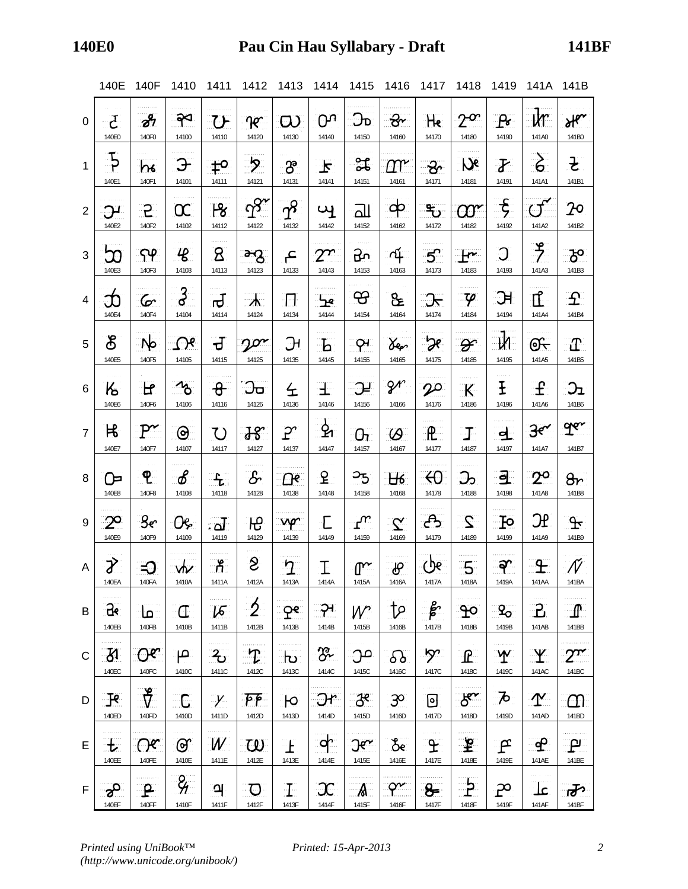|                | 140E                         | 140F                   | 1410                       | 1411                        | 1412                    | 1413                    | 1414                  | 1415                           | 1416                                | 1417                       | 1418                          | 1419                                                  | 141A 141B                   |                             |
|----------------|------------------------------|------------------------|----------------------------|-----------------------------|-------------------------|-------------------------|-----------------------|--------------------------------|-------------------------------------|----------------------------|-------------------------------|-------------------------------------------------------|-----------------------------|-----------------------------|
| 0              | $\mathcal{F}$                | $\partial^2$           | ၣၖ                         | <b>TH</b>                   | $\mathcal{R}^-$         | $\infty$                | <u>იუ</u>             | $\mathcal{D}$                  | ᢓᡃ᠇                                 | He                         | $2^{\alpha}$                  | $P_{\sigma}$                                          | $\mathsf{u}$                | Her                         |
|                | 140E0                        | 140F0                  | 14100                      | 14110                       | 14120                   | 14130                   | 14140                 | 14150                          | 14160                               | 14170                      | 14180                         | 14190                                                 | 141A0                       | 141B0                       |
| $\mathbf{1}$   | $\frac{1}{2}$                | $\mathsf{h}\mathsf{k}$ | Э                          | $\mathfrak{t}^{\mathsf{o}}$ | <u>ּלָ</u>              | $\mathcal{S}$           | $\blacktriangleright$ | ೫                              | $\varOmega\!\!\upgamma\!\!\uparrow$ | $\mathcal{S}$              | $\mathcal{D}$                 | $\boldsymbol{Y}$                                      | $\delta$                    | $\mathbf{F}$                |
|                | 140E1                        | 140F1                  | 14101                      | 14111                       | 14121                   | 14131                   | 14141                 | 14151                          | 14161                               | 14171                      | 14181                         | 14191                                                 | 141A1                       | 141B1                       |
| $\overline{2}$ | ၣႃ                           | ၣႍ                     | $\infty$                   | $\mathcal{B}$               | $\Phi$                  | $\gamma^2$              | $\mathbf{u}$          | $\overline{\text{d} \text{l}}$ | ဆု                                  | ్రా                        | $\alpha$                      | $-\xi$                                                | $\mathcal{Q}^{\mathcal{T}}$ | ှာဝ                         |
|                | 140E2                        | 140F2                  | 14102                      | 14112                       | 14122                   | 14132                   | 14142                 | 14152                          | 14162                               | 14172                      | 14182                         | 14192                                                 | 141A2                       | 141B2                       |
| 3              | သ                            | ၣၦ                     | $\mathcal{L}$              | $\mathbf{g}$                | ్రా                     | َعِ                     | $2^{n}$               | ᡶᡗ                             | 74                                  | 5 <sup>o</sup>             | $\mathbf{F}$                  | $\overline{O}$                                        | $\frac{9}{7}$               | ැප                          |
|                | 140E3                        | 140F3                  | 14103                      | 14113                       | 14123                   | 14133                   | 14143                 | 14153                          | 14163                               | 14173                      | 14183                         | 14193                                                 | 141A3                       | 141B3                       |
| 4              | သ                            | $\mathcal{C}$          | ႕                          | ਰ                           | $\mathcal{A}$           | $\boldsymbol{\Pi}$      | $\mathbf{F}$          | <u>ය</u>                       | &                                   | <u>्र</u>                  | $\mathcal{P}$                 | ЭH                                                    | $\mathbf{I}$ .              | $\bm{\varSigma}$            |
|                | 140E4                        | 140F4                  | 14104                      | 14114                       | 14124                   | 14134                   | 14144                 | 14154                          | 14164                               | 14174                      | 14184                         | 14194                                                 | 141A4                       | 141B4                       |
| 5              | ර්                           | ा⁄⊵                    | $\Omega$                   | ਚ                           | $2^{\alpha}$            | $\mathfrak{R}$          | $\mathbf{b}$          | ၣၪ                             | <i>Yer</i>                          | æ                          | $\mathcal{F}$                 | <u>_M</u>                                             | <u>ලැ</u>                   | $\mathbf{T}$                |
|                | 140E5                        | 140F5                  | 14105                      | 14115                       | 14125                   | 14135                   | 14145                 | 14155                          | 14165                               | 14175                      | 14185                         | 14195                                                 | 141A5                       | 141B5                       |
| 6              | $\mathsf{K}\phantom{.}$      | <u>ਮਿ</u>              | $\mathcal{R}_{\mathbf{0}}$ | $\theta$                    | <u>ეი</u>               | 仝                       | $\pm$                 | ာ                              | $2^r$                               | $\boldsymbol{\mathcal{P}}$ | $\mathsf{K}$                  | $\mathbf{F}% _{0}=\mathbf{1}_{T}\times\mathbf{1}_{T}$ | $\mathbf{f}$                | $\mathfrak{D}_{\mathbf{L}}$ |
|                | 140E6                        | 140F6                  | 14106                      | 14116                       | 14126                   | 14136                   | 14146                 | 14156                          | 14166                               | 14176                      | 14186                         | 14196                                                 | 141A6                       | 141B6                       |
| $\overline{7}$ | 比                            | $P^{\thicksim}$        | $\Theta$                   | U                           | $38^\circ$              | $\mathcal{P}^c$         | ዿ                     | $\Omega_{L}$                   | $\varnothing$                       | $\mathbb{R}$ .             | $\bf{T}$                      | $\overline{\mathbf{d}}$                               | $3<\epsilon$                | ger                         |
|                | 140E7                        | 140F7                  | 14107                      | 14117                       | 14127                   | 14137                   | 14147                 | 14157                          | 14167                               | 14177                      | 14187                         | 14197                                                 | 141A7                       | 141B7                       |
| 8              | ᢨ                            | ၛႄ                     | $\mathscr{E}$              | $\mathbf{f}_\text{L}$       | $\mathcal{S}$           | <u>ැ</u>                | $\mathbf{F}$          | <u>ာ</u>                       | H <sub>6</sub>                      | $\Theta$                   | ာ                             | <u>ੁਭ</u>                                             | $2^\circ$                   | $\theta$ r                  |
|                | 140E8                        | 140F8                  | 14108                      | 14118                       | 14128                   | 14138                   | 14148                 | 14158                          | 14168                               | 14178                      | 14188                         | 14198                                                 | 141A8                       | 141B8                       |
| 9              | $2^{\circ}$                  | 3 <sub>e</sub>         | OG.                        | $\overline{\mathbf{L}}$     | Ю                       | vp.                     | £                     | ୍ $\mathbf{w}$                 | $\mathbf{X}$                        | උ                          | $\mathcal{Z}$                 | $\mathbf{F}$                                          | <b>HC</b>                   | $\mathcal{F}$               |
|                | 140E9                        | 140F9                  | 14109                      | 14119                       | 14129                   | 14139                   | 14149                 | 14159                          | 14169                               | 14179                      | 14189                         | 14199                                                 | 141A9                       | 141B9                       |
| A              | J.                           | <b>SD</b>              | $\mathbf{w}$               | ුද                          | $\mathbf{S}$            | $\, 7 \,$               | I                     | $\mathbb{C}^{\sim}$            | ௹                                   | ርው                         | $5 \,$                        | <u>. ඉ~</u>                                           | <u>ှ</u>                    | $\mathcal N$                |
|                | 140FA                        | 140FA                  | 1410A                      | 1411A                       | 1412A                   | 1413A                   | 1414A                 | 1415A                          | 1416A                               | 1417A                      | 1418A                         | 1419A                                                 | 141AA                       | 141BA                       |
| B              | .<br>$\mathbf{g}_k$<br>140EB | ∷طا<br>140FB           | Œ<br>1410B                 | $\sqrt{2}$<br>1411B         | $\overline{2}$<br>1412B | ၣၔႜ<br>1413B            | ၣၪ<br>1414B           | $W^{\circ}$<br>1415B           | <u>َم†</u><br>1416B                 | हैं<br>1417B               | $\mathbf{P}^{\circ}$<br>1418B | $\mathcal{L}_{\mathcal{O}}$<br>1419B                  | $\mathbf{E}$<br>141AB       | ா<br>141BB                  |
| C              | $\mathcal{B}$                | ೧೯                     | ص                          | $\mathbf{z}$                | $\mathcal{T}$           | $\overline{\mathbf{b}}$ | $\mathcal{C}$         | ാല                             | ᢒ᠔                                  | ή.                         | $\mathbf{F}$                  | $\mathbf{\Psi}$                                       | $\mathbf{Y}$                | $2^{\alpha}$                |
|                | 140EC                        | 140FC                  | 1410C                      | 1411C                       | 1412C                   | 1413C                   | 1414C                 | 1415C                          | 1416C                               | 1417C                      | 1418C                         | 1419C                                                 | 141AC                       | 141BC                       |
| D              | $\mathbb{R}$                 | $\lambda$              | <u>. C</u>                 | $\mathcal{Y}$               | F                       | $\mathsf{P}$            | Эr                    | $-\mathcal{S}^e$               | ဒ္မွာ                               | 回                          | $8^{\circ}$                   | $\boldsymbol{\mathcal{P}}$                            | $\Upsilon$                  | $\Omega$                    |
|                | 140ED                        | 140FD                  | 1410D                      | 1411D                       | 1412D                   | 1413D                   | 1414D                 | 1415D                          | 1416D                               | 1417D                      | 1418D                         | 1419D                                                 | 141AD                       | 141BD                       |
| E              | 土                            | ೧೯                     | ௌ                          | W                           | <u>W</u>                | Œ                       | ැ                     | $\Im \alpha$                   | రీల                                 | £                          | $\mathbf{F}$                  | $\mathbf{F}$                                          | -မှာ                        | ு                           |
|                | 140EE                        | 140FE                  | 1410E                      | 1411E                       | 1412E                   | 1413E                   | 1414E                 | 1415E                          | 1416E                               | 1417E                      | 1418E                         | 1419E                                                 | 141AE                       | 141BE                       |
| F              | ွာ                           | $\mathbf{P}$           | $\frac{2}{7}$              | ႖                           | $\overline{O}$          | Ŧ                       | $\mathfrak{X}$        | $\mathcal{A}$                  | $\gamma$ .                          | $8 -$                      | $\frac{1}{2}$                 | $\mathfrak{P}$                                        | عك                          | क्ल                         |
|                | 140EF                        | 140FF                  | 1410F                      | 1411F                       | 1412F                   | 1413F                   | 1414F                 | 1415F                          | 1416F                               | 1417F                      | 1418F                         | 1419F                                                 | 141AF                       | 141BF                       |

*Printed using UniBook™ (http://www.unicode.org/unibook/)*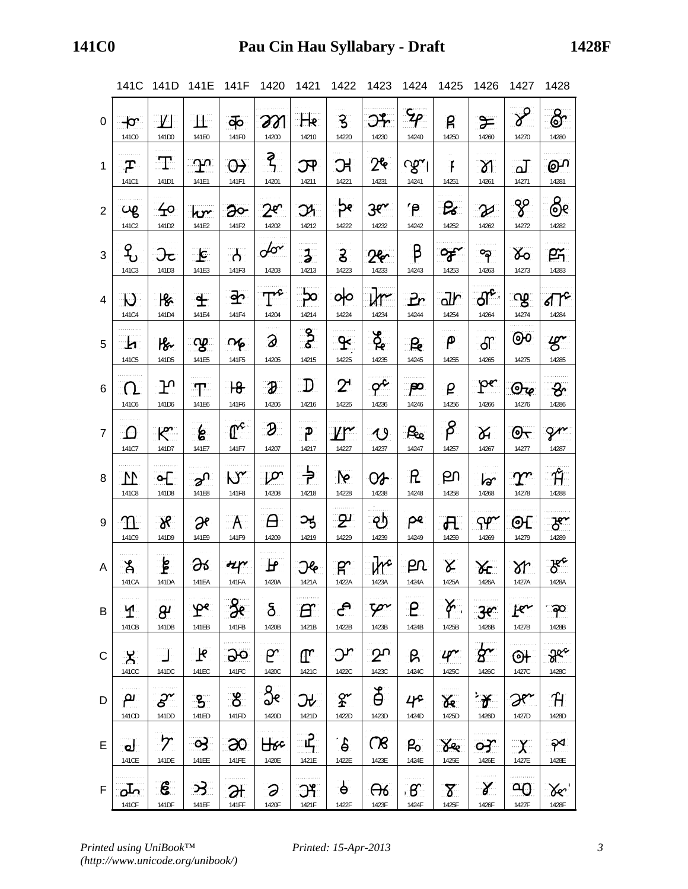|                | 141C                  | 141D                             | 141E 141F                 |                     | 1420                     | 1421           | 1422                        | 1423                        | 1424                 | 1425                | 1426                    | 1427                        | 1428                                      |
|----------------|-----------------------|----------------------------------|---------------------------|---------------------|--------------------------|----------------|-----------------------------|-----------------------------|----------------------|---------------------|-------------------------|-----------------------------|-------------------------------------------|
| 0              | $+\sigma$             | $-V_{\rm F}$                     | -11-                      | क                   | 201                      | $H_8$          | ႜၟ                          | $\mathcal{O}_Y$             | $\mathcal{L}_{\rho}$ | ρ                   | $\approx$               | $\chi^2$                    | ෯                                         |
|                | 141C0                 | 141D0                            | 141E0                     | 141F0               | 14200                    | 14210          | 14220                       | 14230                       | 14240                | 14250               | 14260                   | 14270                       | 14280                                     |
| $\mathbf{1}$   | ှာ-                   | $\mathbf{T}$                     | ာ $\alpha$                | $\Theta$            | ্ব $\zeta$               | $\mathcal{F}$  | <b>R</b>                    | 2 <sup>6</sup>              | $\gamma$             | $\mathbf{f}$        | $\mathcal{A}$           | $\overline{\Delta}$         | <u>ு</u>                                  |
|                | 141C1                 | 141D1                            | 141E1                     | 141F1               | 14201                    | 14211          | 14221                       | 14231                       | 14241                | 14251               | 14261                   | 14271                       | 14281                                     |
| $\overline{2}$ | cφ                    | $\pm$                            | hr                        | $\partial$          | $2^e$                    | $\mathfrak{R}$ | ႜၣၔႜ                        | 3e <sub>x</sub>             | $\mathsf{P}$         | $\mathcal{B}$       | $\mathcal{Z}$           | %                           | ලිං                                       |
|                | 141C2                 | 141D2                            | 141E2                     | 141F2               | 14202                    | 14212          | 14222                       | 14232                       | 14242                | 14252               | 14262                   | 14272                       | 14282                                     |
| 3              | <u>የ</u>              | ઝ્ટ                              | $\mathbf{E}$              | $\mathcal{A}$       | $d\sigma$                | $\mathbf{1}$   | $\mathbf{S}$                | 26                          | β                    | ి౯                  | ႜ                       | <u>४०</u>                   | 巴                                         |
|                | 141C3                 | 141D3                            | 141E3                     | 141F3               | 14203                    | 14213          | 14223                       | 14233                       | 14243                | 14253               | 14263                   | 14273                       | 14283                                     |
| 4              | $\mathcal{D}$         | $\mathcal{B}$                    | $\mathbf{f}$              | <u>ුහි</u>          | $\mathbb{T}^2$           | ႜၣႍႄ           | ৹∣০                         | yr                          | Pr                   | $d\mathbf{r}$       | $\mathcal{A}$ ේ         | းလျှာ                       | टी $\mathcal{C}$                          |
|                | 141C4                 | 141D4                            | 141E4                     | 141F4               | 14204                    | 14214          | 14224                       | 14234                       | 14244                | 14254               | 14264                   | 14274                       | 14284                                     |
| 5              | ায                    | $\mathcal{B}$                    | ്യു                       | $\sim$              | $\partial$               | ႜၟ             | $\mathbf{R}$                | $\beta$                     |                      | $\mathsf{P}$        | ௗ                       | $\Theta$                    | $\mathscr{G}$                             |
|                | 141C5                 | 141D5                            | 141E5                     | 141F5               | 14205                    | 14215          | 14225                       | 14235                       | 14245                | 14255               | 14265                   | 14275                       | 14285                                     |
| 6              | $\Omega$              | ጕ                                | $\mathbf{T}$              | $\theta$            | $\boldsymbol{\vartheta}$ | $\mathbf{D}$   | $2^{\prime}$                | $\sigma^2$                  | ျာာ                  | ρ                   | ၣႍႍၔ                    | $\mathcal{O}_{\mathcal{P}}$ | $\mathcal{S}$                             |
|                | 141C6                 | 141D6                            | 141E6                     | 141F6               | 14206                    | 14216          | 14226                       | 14236                       | 14246                | 14256               | 14266                   | 14276                       | 14286                                     |
| $\overline{7}$ | -0                    | $\mathcal{R}$                    | ႜေ                        | $\mathbb{C}^2$      | $\partial$               | ျာ             | $V^{\sim}$                  | $\bigcirc$                  | ு                    | $\beta$             | $\aleph$                | $\Theta$                    | gr                                        |
|                | 141C7                 | 141D7                            | 141E7                     | 141F7               | 14207                    | 14217          | 14227                       | 14237                       | 14247                | 14257               | 14267                   | 14277                       | 14287                                     |
| 8              | $\mathbf{M}$          | $\circ$                          | ൂ^                        | $N^{\prime}$        | ျာာ                      | ╞              | $\mathbb{R}$                | $O_{\sigma}$                | $\mathsf R$          | ല്പ                 | $\overline{\mathbf{r}}$ | $\lceil \Upsilon \rceil$    | $\hat{\mathcal{H}}$                       |
|                | 141C8                 | 141D8                            | 141E8                     | 141F8               | 14208                    | 14218          | 14228                       | 14238                       | 14248                | 14258               | 14268                   | 14278                       | 14288                                     |
| 9              | ႃ႟                    | $\delta$ ୧                       | $\partial$ e              | A                   | $\theta$                 | ઝ્ક            | ு                           |                             | pe.                  | $\mathbf{H}$        | $\gamma$                | $\Theta$                    | ెకొ                                       |
|                | 141C9                 | 141D9                            | 141E9                     | 141F9               | 14209                    | 14219          | 14229                       | 14239                       | 14249                | 14259               | 14269                   | 14279                       | 14289                                     |
| $\mathsf{A}$   | <u>ိ</u> ခို          | ्ट्ट                             | 98                        | $H^{\prime}$        | $\mathbf{F}$             | <b>JG</b>      | R                           | $\mathcal{W}^{\mathcal{L}}$ | $P^{\alpha}$         | $\chi$              | $X_{\mathsf{E}}$        | $\lambda$                   | $\mathcal{B}^c$                           |
|                | 141CA                 | 141DA                            | 141EA                     | 141FA               | 1420A                    | 1421A          | 1422A                       | 1423A                       | 1424A                | 1425A               | 1426A                   | 1427A                       | 1428A                                     |
| B              | ୍ୟ                    | $\boldsymbol{\beta}$             | $\mathbf{P}^{\mathbf{c}}$ | ႓ၟ                  | $\delta$                 | $\bm{H}$       | ුදු                         | Ψ~                          | P                    | <u>لىك</u>          | 3e                      | $F^{\sim}$                  | ဆု                                        |
|                | 141CB                 | 141DB                            | 141EB                     | 141FB               | 1420B                    | 1421B          | 1422B                       | 1423B                       | 1424B                | 1425B               | 1426B                   | 1427B                       | 1428B                                     |
| C              | $\mathsf{X}$<br>141CC | 141DC                            | ્નિ<br>141EC              | <u> ၁၀</u><br>141FC | ၉^<br>1420C              | ጦ<br>1421C     | Jr<br>1422C                 | <u>ဘ</u><br>1423C           | B.<br>1424C          | $4^{\sim}$<br>1425C | $g^{\star}$<br>1426C    | ଡ∔<br>1427C                 | $\Re^\kappa$<br>1428C                     |
| D              | ு                     | $\mathcal{S}^{\mathcal{\prime}}$ | ್ರಿ                       | ීරි                 | ပွဲ                      | ᢒᡶ             | $\mathbf{\hat{z}^{\prime}}$ | Ď                           | 4e                   | $\chi$              | $\mathcal{L}$           | $\Im$                       | H                                         |
|                | 141CD                 | 141DD                            | 141ED                     | 141FD               | 1420D                    | 1421D          | 1422D                       | 1423D                       | 1424D                | 1425D               | 1426D                   | 1427D                       | 1428D                                     |
| E              | မ                     | ケ                                | <u>ာ</u>                  | ဆ                   | $H$ sc                   | $\mathbf{r}$   | ်မျ                         | $\infty$                    | P <sub>o</sub>       | See                 | ၯ                       | $\chi$                      | ନ୍∕                                       |
|                | 141CE                 | 141DE                            | 141EE                     | 141FE               | 1420E                    | 1421E          | 1422E                       | 1423E                       | 1424E                | 1425E               | 1426E                   | 1427E                       | 1428E                                     |
| F              | ഫ്                    | $\epsilon$                       | <u>ઝ</u>                  | ЭF                  | Э                        | $\mathfrak{R}$ | $\mathbf{\varphi}$          | ക്ക                         | ்க                   | $8^{\circ}$         | $\gamma$                | <u>. Oo</u>                 | $\chi_{\hspace{-1.1mm}-\hspace{-1.1mm}c}$ |
|                | 141CF                 | 141DF                            | 141EF                     | <b>141FF</b>        | 1420F                    | 1421F          | 1422F                       | 1423F                       | 1424F                | 1425F               | 1426F                   | 1427F                       | 1428F                                     |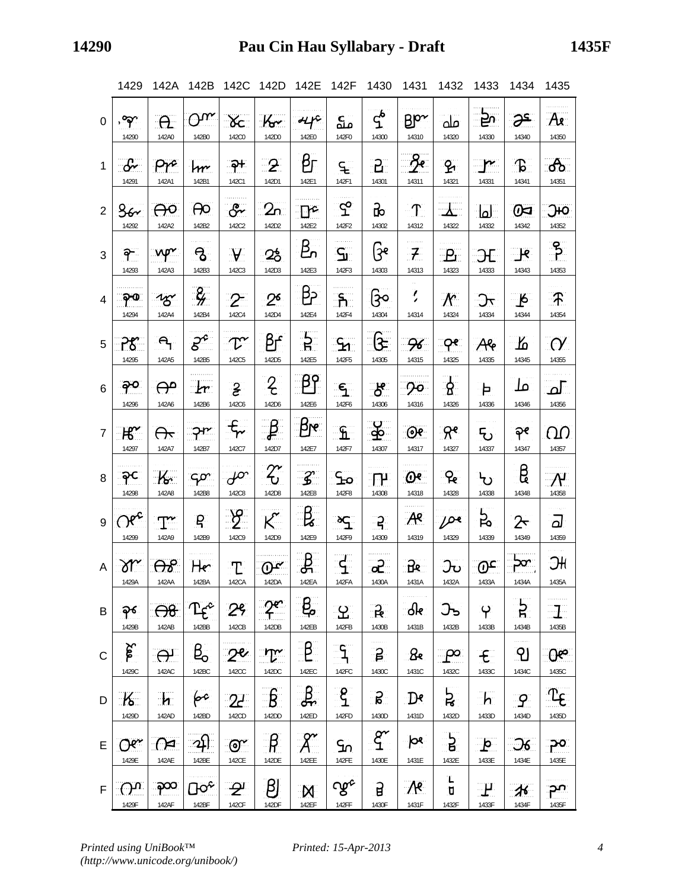|                | 1429                      | 142A                      | 142B                                       | 142C                           | 142D                         | 142E                  | 142F                       | 1430                               | 1431                           | 1432                         | 1433                  | 1434                   | 1435               |
|----------------|---------------------------|---------------------------|--------------------------------------------|--------------------------------|------------------------------|-----------------------|----------------------------|------------------------------------|--------------------------------|------------------------------|-----------------------|------------------------|--------------------|
| 0              | <u>, ရက</u>               | $\theta$                  | $O^{\alpha}$                               | $\chi_c$                       | $K_{\mathcal{C}}$            | $44^\circ$            | مه                         | <u>ና</u>                           | $\mathsf{B}\mathsf{P}^{\star}$ | مله                          | ⊨್                    | َع⊝                    | Ax                 |
|                | 14290                     | 142A0                     | 142B0                                      | 142C0                          | 142D0                        | 142E0                 | 142F0                      | 14300                              | 14310                          | 14320                        | 14330                 | 14340                  | 14350              |
| $\mathbf{1}$   | $-\mathcal{S}$            | Pr                        | $\mathsf{I}$                               | <u>ာ</u> ု                     | $-2$                         | βг                    | ڇ                          | $\mathsf{B}_\mathbb{R}$            | $-$ ze                         | $\mathbf{P}$                 | $\mathbf{r}$          | $\mathcal{L}$          | ්ර                 |
|                | 14291                     | 142A1                     | 142B1                                      | 142C1                          | 142D1                        | 142E1                 | 142F1                      | 14301                              | 14311                          | 14321                        | 14331                 | 14341                  | 14351              |
| 2              | 36                        |                           | $\Theta$                                   | $\mathcal{S}$                  | 2n                           | $\mathbb{P}^2$        | $\mathfrak{L}$             | क्र                                | $\mathbf{T}$                   | $\Delta$ .                   | الطا                  | <u>ଜ</u>               | Эю                 |
|                | 14292                     | 142A2                     | 142B2                                      | 142C2                          | 142D2                        | 142E2                 | 142F2                      | 14302                              | 14312                          | 14322                        | 14332                 | 14342                  | 14352              |
| 3              | ခု                        | ∷νφ×.                     | ಿ                                          | $\mathbf{A}$                   | $25^{\circ}$                 | <u>ይ</u>              | ၛႍႜ                        | િક                                 | $\mathcal{F}$                  | $\mathbf{P}_{\text{L}}$      | $\Theta$              | ार                     | ႜႜၟ                |
|                | 14293                     | 142A3                     | 142B3                                      | 142C3                          | 142D3                        | 142E3                 | 142F3                      | 14303                              | 14313                          | 14323                        | 14333                 | 14343                  | 14353              |
| 4              | ၣၜႜ                       | 25                        | $\frac{2}{\pi}$                            | $\mathcal{Z}$                  | 2 <sup>6</sup>               | ပြီး                  | ႜႜႜ႞ၟ                      | ၉၀.                                | $\overline{\cdot}$             | $\mathcal{N}$                | ੀ $\tau$              | _டு                    | $\mathcal{F}$      |
|                | 14294                     | 142A4                     | 142B4                                      | 142C4                          | 142D4                        | 142E4                 | 142F4                      | 14304                              | 14314                          | 14324                        | 14334                 | 14344                  | 14354              |
| 5              | 7ී                        | $\mathbf{R}_{\mathbf{L}}$ | $\mathcal{S}^e$                            | $\tau$                         | $\beta$ ட்                   | <u>੍ਰੋਮ</u>           | $\mathcal{L}_{\mathbf{M}}$ | <u>કિ</u>                          | 96                             | ၣၔႜ                          | Ale                   | 上                      | $\mathcal{O}'$     |
|                | 14295                     | 142A5                     | 142B5                                      | 142C5                          | 142D5                        | 142E5                 | 142F5                      | 14305                              | 14315                          | 14325                        | 14335                 | 14345                  | 14355              |
| 6              | ခုဝ                       | $\Theta$                  | $\mathbf{r}$                               | $\mathbf{r}$                   | $\mathcal{Z}_{\mathcal{C}}$  | ျာဝှ                  | $\mathsf{S}$               | ර්                                 | ာဝ                             | .გ.                          | Þ                     | ملا                    | ച                  |
|                | 14296                     | 142A6                     | 142B6                                      | 142C6                          | 142D6                        | 142E6                 | 142F6                      | 14306                              | 14316                          | 14326                        | 14336                 | 14346                  | 14356              |
| $\overline{7}$ | $H^{\sim}$                | $\bigoplus$               | ᡇᢆ᠇                                        | $f_{\gamma}$                   | ுத                           | $\beta$ re            | £                          | န္န                                | $\Theta$                       | ୍ $\mathcal{R}^{\mathbf{e}}$ | ᠲ                     | ခုဧ                    | വ                  |
|                | 14297                     | 142A7                     | 142B7                                      | 142C7                          | 142D7                        | 142E7                 | 142F7                      | 14307                              | 14317                          | 14327                        | 14337                 | 14347                  | 14357              |
| 8              | ၣင                        | K                         | $C^{\infty}$                               | $\mathcal{P}^{\infty}$         | $\mathcal{Z}$                | $\mathcal{Z}$         | $\mathcal{L}_{\mathbf{D}}$ | ाभ                                 | $\mathbf{\Theta}$              | ႜႂ                           | ኒካ                    | g                      | $\mathcal{M}$      |
|                | 14298                     | 142A8                     | 142B8                                      | 142C8                          | 142D8                        | 142E8                 | 142F8                      | 14308                              | 14318                          | 14328                        | 14338                 | 14348                  | 14358              |
| 9              | $Oe^{c}$                  | $\mathbb{T}^{\ast}$       | ႜ႙ႜ                                        | $\frac{1}{2}$                  | $\mathcal{K}$                | $\mathbf{B}$          | ဆင္း                       | $-2$                               | $A^e$                          | $D^e$                        | ट्रे                  | $2\!\tau$              | ╗                  |
|                | 14299                     | 142A9                     | 142B9                                      | 142C9                          | 142D9                        | 142E9                 | 142F9                      | 14309                              | 14319                          | 14329                        | 14339                 | 14349                  | 14359              |
| A              | $\gamma$                  | ക്ക                       | He                                         | T                              | $\mathbb{O}^{\infty}$        | <u>தி</u>             | $\mathbf{F}$               | $\alpha$                           | ੀਲ                             | ᡫᠣ                           | <u>ිග</u>             | $p^{\alpha}$           | ЭН                 |
|                | 1429A                     | 14 <i>2</i> AA            | 142BA                                      | 142CA                          | 14 <i>ZD</i> A               | 142EA                 | 142FA                      | 1430A                              | 1431A                          | 1432A                        | 1433A                 | 1434A                  | 1435A              |
| B              | ခုန<br>1429B              | <del>08</del><br>142AB    | $\mathbf{T} \boldsymbol{\varphi}$<br>142BB | 29<br>142CB                    | 2 <sup>e</sup><br>142DB      | ę.<br>142EB           | 오<br>142FB                 | R<br>1430B                         | $\mathcal{R}$<br>1431B         | ᢃ᠊ᡃ<br>1432B                 | မှ<br>1433B           | <u>ដ្</u><br>1434B     | 1435B              |
| $\mathsf{C}$   | لى<br>معل<br>1429C        | $\Theta$<br>142AC         | $B_{o}$<br>142BC                           | $2^{\mathcal{C}}$<br>142CC     | $\mathbb{T}^{\sim}$<br>142DC | $\beta$<br>142EC      | 142FC                      | $\boldsymbol{\beta}$<br>1430C      | $\mathcal{B}$<br>1431C         | ှုတ<br>1432C                 | $\epsilon$<br>1433C   | ၛ<br>1434C             | <u>ርሌ</u><br>1435C |
| D              | $\kappa$                  | $\mathbf{h}$              | for                                        | 2 <sup>1</sup>                 | $\int$                       | பூ                    | $\widetilde{\xi}$          | <u>ន្ត្រី</u>                      | $\mathbf{D}$ e                 | द्रे                         | h                     | -9                     | $T_{\epsilon}$     |
|                | 1429D                     | 142AD                     | 142BD                                      | 142CD                          | 142DD                        | 142ED                 | 142FD                      | 1430D                              | 1431D                          | 1432D                        | 1433D                 | 1434D                  | 1435D              |
| E              | $Oe^{\lambda t}$<br>1429E | $\Omega$<br>142AE         | <u>ာ</u> ါ<br>142BE                        | $\mathbb{C}^{\prime}$<br>142CE | $\beta$<br>142DE             | 142EE                 | <u>Sn</u><br>142FE         | $\mathop{\rm g}\nolimits$<br>1430E | þЯ<br>1431E                    | $\mathbf{b}$<br>1432E        | $\mathbf{p}$<br>1433E | $\Im$<br>1434E         | ၣ၀ႜ<br>1435E       |
| $\mathsf F$    | $O^{n}$<br>1429F          | ၣၣၹ<br>142AF              | $\Box$ o $_{\rm c}$<br>142BF               | <u>. දැ</u><br>142CF           | $\bm{\beta}$<br>142DF        | $\mathsf{M}$<br>142EF | ശ്ശ്<br>142FF              | $\mathbf{g}$<br>1430F              | $\mathcal{M}$<br>1431F         | L,<br>ū<br>1432F             | ுட<br>1433F           | $\mathcal{H}$<br>1434F | 1435F              |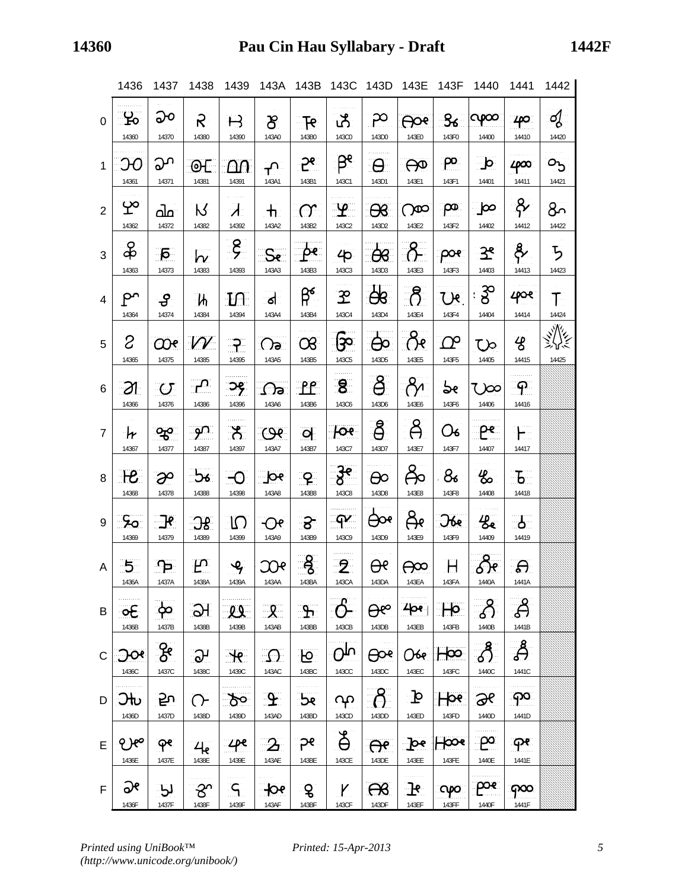|                | 1436                      | 1437                               | 1438                             | 1439                                 |                             |                              |                          | 143A 143B 143C 143D 143E    |                       | 143F                        | 1440                        | 1441                    | 1442                            |
|----------------|---------------------------|------------------------------------|----------------------------------|--------------------------------------|-----------------------------|------------------------------|--------------------------|-----------------------------|-----------------------|-----------------------------|-----------------------------|-------------------------|---------------------------------|
| 0              | ුපි<br>14360              | ၣ၀<br>14370                        | $\mathcal{S}$<br>14380           | $\mathsf H$<br>14390                 | $\mathcal{S}$<br>143A0      | $\mathbb{R}$<br>143B0        | பீ<br>143C0              | ှာ<br>143D0                 | <b>Age</b><br>143E0   | <u>&amp;</u><br>143F0       | CPOO <br>14400              | 140<br>14410            | ॳॢ<br>14420                     |
| $\mathbf{1}$   | Э0<br>14361               | ეი<br>14371                        | OL.<br>14381                     | ഥ∩<br>14391                          | ᠊᠊ᡗ<br>143A1                | ၣႍႜႜႋႜ<br>143B1              | $\beta^e$<br>143C1       | $\Theta$<br>143D1           | $\Theta$<br>143E1     | ၣႄ<br>143F1                 | ∴d⊵<br>14401                | 4000<br>14411           | $O_{\lambda}$<br>14421          |
| $\overline{2}$ | Ψ°<br>14362               | പ്പ<br>14372                       | K<br>14382                       | $\boldsymbol{\lambda}$<br>14392      | $\mathbf{\bar{h}}$<br>143A2 | $\sigma$<br>143B2            | ுடி<br>143C2             | $\mathcal{B}$<br>143D2      | $\infty$<br>143E2     | ၣၜႜ<br>143F2                | ൃ∞<br>14402                 | $\frac{8}{2}$<br>14412  | გ.<br>14422                     |
| 3              | $\frac{8}{5}$<br>14363    | ுத<br>14373                        | $\overline{\mathsf{w}}$<br>14383 | $\zeta$<br>14393                     | ႜ<br>143A3                  | $\mathbf{P}$<br>143B3        | 40 <sup>°</sup><br>143C3 | ිසි<br>143D3                | $\delta$<br>143E3     | ၣ၀ၩႜ<br>143F3               | <u>جو</u><br>14403          | နိ $\sim$<br>14413      | ち<br>14423                      |
| $\overline{4}$ | ၣႁ<br>14364               | ႕<br>14374                         | <b>Th</b><br>14384               | $\mathbf{L}$<br>14394                | $\mathsf{d}$<br>143A4       | $\beta^{\epsilon}$<br>143B4  | $\mathbf{E}$<br>143C4    | $\frac{1}{2}$<br>143D4      | $\beta$<br>143E4      | $U^e$<br>143F4              | : 3 ි<br>14404              | 408<br>14414            | $\top$<br>14424                 |
| 5              | S.<br>14365               | <u>೧೧೯</u><br>14375                | $\mathcal W$<br>14385            | <u>ි?</u><br>14395                   | $\Omega$<br>143A5           | $\infty$<br>143B5            | ြသ<br>143C5              | 143D5                       | $\beta$ e<br>143E5    | $\Omega^{\rm o}$<br>143F5   | Uo<br>14405                 | $\mathcal{B}$<br>14415  | <b>مالكي</b><br>جيلالي<br>14425 |
| 6              | -21<br>14366              | $\overline{C}$<br>14376            | $\mathbf{r}$<br>14386            | ာင္း<br>14396                        | $\Omega$ a<br>143A6         | $\mathbb{P}^{\rho}$<br>143B6 | ි8ි<br>143C6             | $\beta$<br>143D6            | $\beta$<br>143E6      | 5e<br>143F6                 | <u>्</u> 0∞<br>14406        | - ငှ<br>14416           |                                 |
| $\overline{7}$ | $\mathcal{H}$<br>14367    | ఞ<br>14377                         | <u>്റ്റ് (</u><br>14387          | ්ර්<br>14397                         | $\omega$<br>143A7           | $\overline{Q}$<br>143B7      | $P^e$<br>143C7           | <u>දී</u><br>143D7          | $\beta$<br>143E7      | O6<br>143F7                 | ၣၔႜ<br>14407                | ┢┈<br>14417             |                                 |
| 8              | $\mathcal{H}$<br>14368    | $\partial^o$<br>14378              | ್ರೋ<br>14388                     | $\Theta$<br>14398                    | pe<br>143A8                 | ႜႍၟႍႜ<br>143B8               | $3^e$<br>143C8           | $\Theta$<br>143D8           | දිං<br>143E8          | ු ල<br>143F8                | $\frac{1}{\infty}$<br>14408 | $\mathbf{b}$<br>14418   |                                 |
| 9              | ာေ<br>14369               | $\mathbb{R}$<br>14379              | <u>ාද</u><br>14389               | ျာ<br>14399                          | $\Theta$ e<br>143A9         | ි පි<br>143B9                | $\mathbf{P}$<br>143C9    | $\Theta$<br>143D9           | දිං<br>143E9          | $\Im$ be<br>143F9           | 发<br>14409                  | $\mathbf{r}$<br>14419   |                                 |
| $\mathsf{A}$   | $\overline{5}$<br>1436A   | ျာ<br>1437A                        | $F^{\circ}$<br>1438A             | $\mathcal{L}_{\mathcal{F}}$<br>1439A | $\infty$<br>143AA           | 143BA                        | $\overline{2}$<br>143CA  | $\Theta^e$<br>143DA         | $\Theta$<br>143EA     | Η<br>143FA                  | <u>Se</u><br>1440A          | .ക<br>1441A             |                                 |
| B              | $\circ \epsilon$<br>1436B | $\mathbf{\varphi}$<br>1437B        | $\Theta$<br>1438B                | 29<br>1439B                          | $\mathcal{R}$<br>143AB      | $\mathbf{P}$<br>143BB        | 143CB                    | $\theta^{\varphi}$<br>143DB | 400<br>143EB          | He<br>143FB                 | 1440B                       | දි<br>1441B             |                                 |
| C              | ာလ<br>1436C               | $\frac{1}{6}$<br>1437C             | $\partial$<br>1438C              | $\mathcal{H}$<br>1439C               | $\Omega$<br>143AC           | <b>可</b><br>143BC            | Oru<br>143CC             | <b>A</b><br>143DC           | Obp<br>143EC          | Н∞<br>143FC                 | 1440C                       | தீ<br>1441C             |                                 |
| D              | ϽᡰႱ<br>1436D              | <u>გა</u><br>1437D                 | ᢉ<br>1438D                       | <u>్రాం</u><br>1439D                 | $\mathbf{P}$<br>143AD       | <b>De</b><br>143BD           | ႖ၣ<br>143CD              | $-\beta$<br>143DD           | $\mathbf{P}$<br>143ED | <b>Hos</b><br>143FD         | <b>Se</b><br>1440D          | ၣၖႜ<br>1441D            |                                 |
| E              | 9.100<br>1436E            | $\mathsf{P}^{\mathsf{e}}$<br>1437E | 4 <sub>e</sub><br>1438E          | $\mathcal{L}$ pe<br>1439E            | $\mathbf{2}$<br>143AE       | ၣၩႜ<br>143BE                 | $\mathfrak{F}$<br>143CE  | $\Theta$ e<br>143DE         | Pe<br>143EE           | $\mathsf{H}\infty$<br>143FE | ၣၖ<br>1440E                 | $\mathsf{P}$ የ<br>1441E |                                 |
| $\mathsf F$    | ಘ<br>1436F                | لرا<br>1437F                       | ᡒ<br>1438F                       | ြ<br>1439F                           | $\mathcal{P}$<br>143AF      | g<br>143BF                   | Y<br>143CF               | $\mathcal{R}$<br>143DF      | $\mathbf{F}$<br>143EF | opo<br>143FF                | poe:<br>1440F               | 1441F                   |                                 |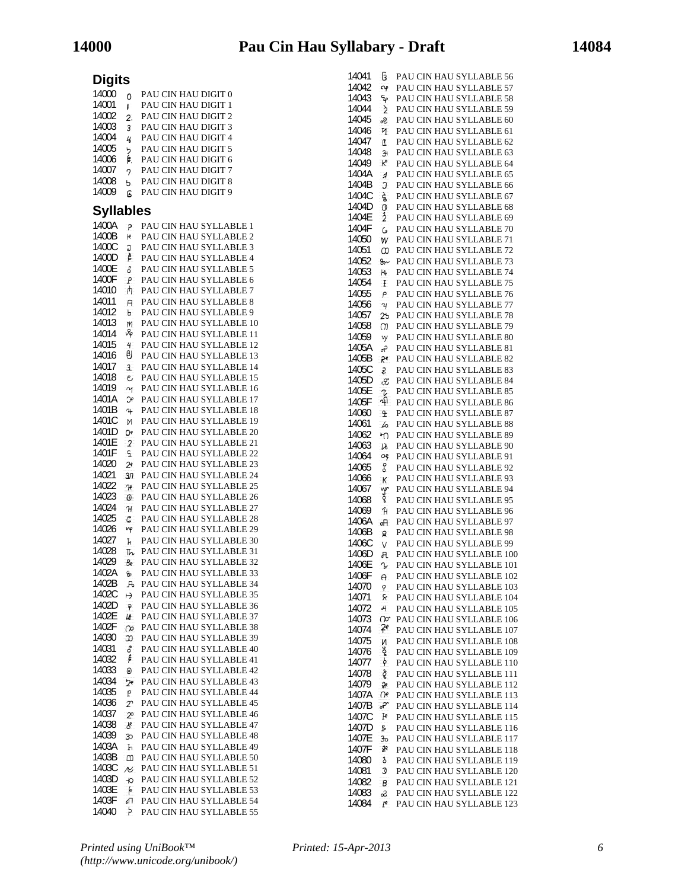|                  |                 |                                   | 14041 |                     | <b>G</b> PAU CIN HAU SYLLABLE 56  |
|------------------|-----------------|-----------------------------------|-------|---------------------|-----------------------------------|
| <b>Digits</b>    |                 |                                   | 14042 | Cφ                  | PAU CIN HAU SYLLABLE 57           |
| 14000            | $\Omega$        | PAU CIN HAU DIGIT 0               | 14043 | ٩p                  | PAU CIN HAU SYLLABLE 58           |
| 14001            | r               | PAU CIN HAU DIGIT 1               | 14044 | $\geq$              | PAU CIN HAU SYLLABLE 59           |
| 14002            | 2.              | PAU CIN HAU DIGIT 2               | 14045 |                     | PAU CIN HAU SYLLABLE 60           |
| 14003            | 3               | PAU CIN HAU DIGIT 3               | 14046 | 2                   |                                   |
| 14004            | $\frac{1}{2}$   | PAU CIN HAU DIGIT 4               | 14047 | и                   | PAU CIN HAU SYLLABLE 61           |
| 14005            | را              | PAU CIN HAU DIGIT 5               |       | T                   | PAU CIN HAU SYLLABLE 62           |
| 14006            | \$.             | PAU CIN HAU DIGIT 6               | 14048 | $\overline{3}$      | PAU CIN HAU SYLLABLE 63           |
| 14007            | 2               | PAU CIN HAU DIGIT 7               | 14049 | $\kappa$            | PAU CIN HAU SYLLABLE 64           |
| 14008            |                 | PAU CIN HAU DIGIT 8               | 1404A | $\overline{A}$      | PAU CIN HAU SYLLABLE 65           |
| 14009            | ь.              | PAU CIN HAU DIGIT 9               | 1404B | J                   | PAU CIN HAU SYLLABLE 66           |
|                  | G               |                                   | 1404C | દ્રે                | PAU CIN HAU SYLLABLE 67           |
| <b>Syllables</b> |                 |                                   | 1404D | O                   | PAU CIN HAU SYLLABLE 68           |
|                  |                 |                                   | 1404E | $\frac{1}{2}$       | PAU CIN HAU SYLLABLE 69           |
| 1400A            | $\mathcal{P}$   | PAU CIN HAU SYLLABLE 1            | 1404F | $\mathsf{G}$        | PAU CIN HAU SYLLABLE 70           |
| 1400B            | ю               | PAU CIN HAU SYLLABLE 2            | 14050 | W                   | PAU CIN HAU SYLLABLE 71           |
| 1400C            | G               | PAU CIN HAU SYLLABLE 3            | 14051 | œ                   | PAU CIN HAU SYLLABLE 72           |
| 1400D            | 声               | PAU CIN HAU SYLLABLE 4            | 14052 |                     | 8r PAU CIN HAU SYLLABLE 73        |
| 1400E            | δ               | PAU CIN HAU SYLLABLE 5            | 14053 | $H_{\rm P}$         | PAU CIN HAU SYLLABLE 74           |
| 1400F            | Р               | PAU CIN HAU SYLLABLE 6            | 14054 | Ŧ                   | PAU CIN HAU SYLLABLE 75           |
| 14010            | 卉               | PAU CIN HAU SYLLABLE 7            | 14055 | P                   | PAU CIN HAU SYLLABLE 76           |
| 14011            | H,              | PAU CIN HAU SYLLABLE 8            | 14056 | $\boldsymbol{\eta}$ | PAU CIN HAU SYLLABLE 77           |
| 14012            | Ь               | PAU CIN HAU SYLLABLE 9            | 14057 |                     | 25 PAU CIN HAU SYLLABLE 78        |
| 14013            | M               | PAU CIN HAU SYLLABLE 10           | 14058 | m                   | PAU CIN HAU SYLLABLE 79           |
| 14014            | νφ              | PAU CIN HAU SYLLABLE 11           | 14059 |                     | PAU CIN HAU SYLLABLE 80           |
| 14015            | 4               | PAU CIN HAU SYLLABLE 12           | 1405A | w                   |                                   |
| 14016            | ₿               | PAU CIN HAU SYLLABLE 13           |       | ಕಿ                  | PAU CIN HAU SYLLABLE 81           |
| 14017            | $\overline{3}$  | PAU CIN HAU SYLLABLE 14           | 1405B |                     | PAU CIN HAU SYLLABLE 82           |
| 14018            | e               | PAU CIN HAU SYLLABLE 15           | 1405C | £                   | PAU CIN HAU SYLLABLE 83           |
| 14019            | $\sim$          | PAU CIN HAU SYLLABLE 16           | 1405D | Æ                   | PAU CIN HAU SYLLABLE 84           |
| 1401A            | K               | PAU CIN HAU SYLLABLE 17           | 1405E | T,                  | PAU CIN HAU SYLLABLE 85           |
| 1401B            | $\overline{a}$  | PAU CIN HAU SYLLABLE 18           | 1405F | သုါ                 | PAU CIN HAU SYLLABLE 86           |
| 1401C            |                 |                                   | 14060 | $\mathbf{f}$        | PAU CIN HAU SYLLABLE 87           |
|                  | N               | PAU CIN HAU SYLLABLE 19           | 14061 | $\mathcal{L}$       | PAU CIN HAU SYLLABLE 88           |
| 1401D            | Оe              | PAU CIN HAU SYLLABLE 20           | 14062 | ካገ                  | PAU CIN HAU SYLLABLE 89           |
| 1401E            |                 | 2 PAU CIN HAU SYLLABLE 21         | 14063 | $\mathcal{V}$       | PAU CIN HAU SYLLABLE 90           |
| 1401F            | £               | PAU CIN HAU SYLLABLE 22           | 14064 | Оę                  | PAU CIN HAU SYLLABLE 91           |
| 14020            | 2e              | PAU CIN HAU SYLLABLE 23           | 14065 | 8                   | PAU CIN HAU SYLLABLE 92           |
| 14021            | 30 <sub>1</sub> | PAU CIN HAU SYLLABLE 24           | 14066 | К                   | PAU CIN HAU SYLLABLE 93           |
| 14022            | ገየ              | PAU CIN HAU SYLLABLE 25           | 14067 |                     | PAU CIN HAU SYLLABLE 94           |
| 14023            | 0-              | PAU CIN HAU SYLLABLE 26           | 14068 | <b>g</b> aoa        | PAU CIN HAU SYLLABLE 95           |
| 14024            | $\mathcal{H}$   | PAU CIN HAU SYLLABLE 27           | 14069 | Ĥ                   | PAU CIN HAU SYLLABLE 96           |
| 14025            | C               | PAU CIN HAU SYLLABLE 28           | 1406A | ௬                   | PAU CIN HAU SYLLABLE 97           |
| 14026            | vψ              | PAU CIN HAU SYLLABLE 29           | 1406B | g.                  | PAU CIN HAU SYLLABLE 98           |
| 14027            | h               | PAU CIN HAU SYLLABLE 30           | 1406C | V                   | PAU CIN HAU SYLLABLE 99           |
| 14028            |                 | The PAU CIN HAU SYLLABLE 31       | 1406D |                     | <b>A</b> PAU CIN HAU SYLLABLE 100 |
| 14029            |                 | <b>Be</b> PAU CIN HAU SYLLABLE 32 | 1406E |                     | <b>T</b> PAU CIN HAU SYLLABLE 101 |
| 1402A            |                 | 8 PAU CIN HAU SYLLABLE 33         | 1406F | $\Theta$ .          | PAU CIN HAU SYLLABLE 102          |
| 1402B            |                 | <b>A</b> PAU CIN HAU SYLLABLE 34  | 14070 | 9                   | PAU CIN HAU SYLLABLE 103          |
| 1402C            | $\mapsto$       | PAU CIN HAU SYLLABLE 35           | 14071 | *                   | PAU CIN HAU SYLLABLE 104          |
| 1402D            | ှာ              | PAU CIN HAU SYLLABLE 36           | 14072 | H                   | PAU CIN HAU SYLLABLE 105          |
| 1402E            | lé              | PAU CIN HAU SYLLABLE 37           | 14073 |                     | O PAU CIN HAU SYLLABLE 106        |
| 1402F            | $\infty$        | PAU CIN HAU SYLLABLE 38           | 14074 | Ψ                   | PAU CIN HAU SYLLABLE 107          |
| 14030            | $\infty$        | PAU CIN HAU SYLLABLE 39           | 14075 |                     | PAU CIN HAU SYLLABLE 108          |
| 14031            | å,              | PAU CIN HAU SYLLABLE 40           |       | N                   |                                   |
| 14032            | f               | PAU CIN HAU SYLLABLE 41           | 14076 | ě                   | PAU CIN HAU SYLLABLE 109          |
| 14033            | 0               | PAU CIN HAU SYLLABLE 42           | 14077 | þ                   | PAU CIN HAU SYLLABLE 110          |
| 14034            | ንዶ              | PAU CIN HAU SYLLABLE 43           | 14078 | ğ                   | PAU CIN HAU SYLLABLE 111          |
| 14035            | Ρ               | PAU CIN HAU SYLLABLE 44           | 14079 | ٩R                  | PAU CIN HAU SYLLABLE 112          |
| 14036            | $\mathcal{L}$   | PAU CIN HAU SYLLABLE 45           | 1407A | $\Omega$            | PAU CIN HAU SYLLABLE 113          |
| 14037            | $\mathcal{P}$   | PAU CIN HAU SYLLABLE 46           | 1407B | ಸ್                  | PAU CIN HAU SYLLABLE 114          |
|                  |                 |                                   | 1407C | $_{\rm F}$          | PAU CIN HAU SYLLABLE 115          |
| 14038            | ්ර              | PAU CIN HAU SYLLABLE 47           | 1407D | ይ                   | PAU CIN HAU SYLLABLE 116          |
| 14039            | ဆ               | PAU CIN HAU SYLLABLE 48           | 1407E | 30                  | PAU CIN HAU SYLLABLE 117          |
| 1403A            | h               | PAU CIN HAU SYLLABLE 49           | 1407F | sж                  | PAU CIN HAU SYLLABLE 118          |
| 1403B            | m               | PAU CIN HAU SYLLABLE 50           | 14080 | 3                   | PAU CIN HAU SYLLABLE 119          |
| 1403C            |                 | 78 PAU CIN HAU SYLLABLE 51        | 14081 | J                   | PAU CIN HAU SYLLABLE 120          |
| 1403D            |                 | +0 PAU CIN HAU SYLLABLE 52        | 14082 | $\beta$             | PAU CIN HAU SYLLABLE 121          |
| 1403E            | -6              | PAU CIN HAU SYLLABLE 53           | 14083 | å.                  | PAU CIN HAU SYLLABLE 122          |
| 1403F            |                 | <b>T</b> PAU CIN HAU SYLLABLE 54  | 14084 | $^{\prime}$         | PAU CIN HAU SYLLABLE 123          |
| 14040            | $\mathcal{F}$   | PAU CIN HAU SYLLABLE 55           |       |                     |                                   |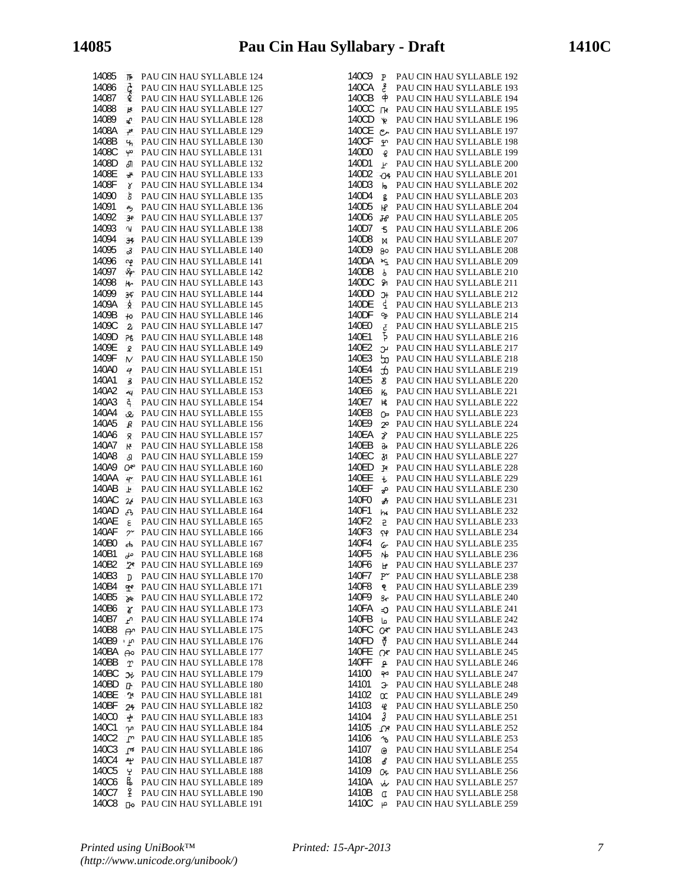| 14085          | 下              | PAU CIN HAU SYLLABLE 124                             |
|----------------|----------------|------------------------------------------------------|
| 14086          |                | PAU CIN HAU SYLLABLE 125                             |
| 14087          | င့်            | PAU CIN HAU SYLLABLE 126                             |
| 14088          | R              | PAU CIN HAU SYLLABLE 127                             |
| 14089          | ₽              | PAU CIN HAU SYLLABLE 128                             |
| 1408A          | ۳,             | PAU CIN HAU SYLLABLE 129                             |
| 1408B          | Ч,             | PAU CIN HAU SYLLABLE 130                             |
| 1408C          | φ              | PAU CIN HAU SYLLABLE 131                             |
| 1408D          | சி             | PAU CIN HAU SYLLABLE 132                             |
| 1408E          | a۴             | PAU CIN HAU SYLLABLE 133                             |
| 1408F          | γ              | PAU CIN HAU SYLLABLE 134                             |
| 14090          | ď              | PAU CIN HAU SYLLABLE 135                             |
| 14091          |                | PAU CIN HAU SYLLABLE 136                             |
| 14092          | 圴<br>3e        | PAU CIN HAU SYLLABLE 137                             |
| 14093          | <b>لى</b>      | PAU CIN HAU SYLLABLE 138                             |
| 14094          | 34             | PAU CIN HAU SYLLABLE 139                             |
| 14095          | ஃ              | PAU CIN HAU SYLLABLE 140                             |
| 14096          | QΦ             | PAU CIN HAU SYLLABLE 141                             |
| 14097          | &r             | PAU CIN HAU SYLLABLE 142                             |
| 14098          | ю              | PAU CIN HAU SYLLABLE 143                             |
| 14099          | 39             | PAU CIN HAU SYLLABLE 144                             |
| 1409A          | ጷ              | PAU CIN HAU SYLLABLE 145                             |
| 1409B          | $+0$           | PAU CIN HAU SYLLABLE 146                             |
| 1409C          | $\overline{2}$ | PAU CIN HAU SYLLABLE 147                             |
| 1409D          | 76             | PAU CIN HAU SYLLABLE 148                             |
| 1409E          | ያ              | PAU CIN HAU SYLLABLE 149                             |
| 1409F          | M              | PAU CIN HAU SYLLABLE 150                             |
| 140A0          | 4              | PAU CIN HAU SYLLABLE 151                             |
| 140A1          | 3              | PAU CIN HAU SYLLABLE 152                             |
| 140A2          | ન્ય            | PAU CIN HAU SYLLABLE 153                             |
| 140A3          | ሩ              | PAU CIN HAU SYLLABLE 154                             |
| 140A4          | œ              | PAU CIN HAU SYLLABLE 155                             |
| 140A5          | R              | PAU CIN HAU SYLLABLE 156                             |
| 140A6          | Š.             | PAU CIN HAU SYLLABLE 157                             |
| 140A7          | К              | PAU CIN HAU SYLLABLE 158                             |
| 140A8          | δ              | PAU CIN HAU SYLLABLE 159                             |
| 140A9          | ው              | PAU CIN HAU SYLLABLE 160                             |
| 140AA          | 4.             | PAU CIN HAU SYLLABLE 161                             |
| 140AB          | F              | PAU CIN HAU SYLLABLE 162                             |
| 140AC          | 26             | PAU CIN HAU SYLLABLE 163                             |
| 140AD          | جم             | PAU CIN HAU SYLLABLE 164                             |
| <b>140AE</b>   | 3              | PAU CIN HAU SYLLABLE 165                             |
| 140AF          | $\gamma$       | PAU CIN HAU SYLLABLE 166                             |
| 140B0          | ൴              | PAU CIN HAU SYLLABLE 167                             |
| 140B1          | حلى            | PAU CIN HAU SYLLABLE 168                             |
| 140B2          | 29             | PAU CIN HAU SYLLABLE 169                             |
| 140B3          | D              | PAU CIN HAU SYLLABLE 170                             |
| 140B4<br>140B5 | qve.           | PAU CIN HAU SYLLABLE 171<br>PAU CIN HAU SYLLABLE 172 |
| 140B6          | <b>Se</b>      | PAU CIN HAU SYLLABLE 173                             |
| 140B7          | r              | PAU CIN HAU SYLLABLE 174                             |
| 140B8          | Ŀ              | PAU CIN HAU SYLLABLE 175                             |
| 140B9          | ക്<br>٠p       | PAU CIN HAU SYLLABLE 176                             |
| 140BA          | ൙              | PAU CIN HAU SYLLABLE 177                             |
| 140BB          | Υ              | PAU CIN HAU SYLLABLE 178                             |
| 140BC          | Эł             | PAU CIN HAU SYLLABLE 179                             |
| 140BD          | ው              | PAU CIN HAU SYLLABLE 180                             |
| 140BE          | ∙ጕ             | PAU CIN HAU SYLLABLE 181                             |
| 140BF          | 24             | PAU CIN HAU SYLLABLE 182                             |
| 140C0          | ∱              | PAU CIN HAU SYLLABLE 183                             |
| 140C1          | ጉባ             | PAU CIN HAU SYLLABLE 184                             |
| 140C2          | $\mathbb{C}$   | PAU CIN HAU SYLLABLE 185                             |
| 140C3          | $\mathsf{m}$   | PAU CIN HAU SYLLABLE 186                             |
| 140C4          | 屮              | PAU CIN HAU SYLLABLE 187                             |
| 140C5          | Ł              | PAU CIN HAU SYLLABLE 188                             |
| 140C6          | В,             | PAU CIN HAU SYLLABLE 189                             |
| 140C7          | £              | PAU CIN HAU SYLLABLE 190                             |
| 140C8          | Πо             | PAU CIN HAU SYLLABLE 191                             |

| 140C9        |                         | PAU CIN HAU SYLLABLE 192 |
|--------------|-------------------------|--------------------------|
| 140CA        | Ρ                       |                          |
|              | ع                       | PAU CIN HAU SYLLABLE 193 |
| 140CB        | $\tilde{\Phi}$          | PAU CIN HAU SYLLABLE 194 |
| 140CC        | Гk                      | PAU CIN HAU SYLLABLE 195 |
| 140CD        | $\ast$                  | PAU CIN HAU SYLLABLE 196 |
| <b>140CE</b> | مع                      | PAU CIN HAU SYLLABLE 197 |
| 140CF        | ሦ                       | PAU CIN HAU SYLLABLE 198 |
| 140D0        | g                       | PAU CIN HAU SYLLABLE 199 |
| 140D1        |                         | PAU CIN HAU SYLLABLE 200 |
|              | F                       |                          |
| 140D2        | O <sub>6</sub>          | PAU CIN HAU SYLLABLE 201 |
| 140D3        | ho                      | PAU CIN HAU SYLLABLE 202 |
| 140D4        | ŝ                       | PAU CIN HAU SYLLABLE 203 |
| 140D5        | Η۹                      | PAU CIN HAU SYLLABLE 204 |
| 140D6        | Ю                       | PAU CIN HAU SYLLABLE 205 |
| 140D7        | -5                      | PAU CIN HAU SYLLABLE 206 |
| 140D8        |                         |                          |
|              | M                       | PAU CIN HAU SYLLABLE 207 |
| 140D9        | ႙ၜ                      | PAU CIN HAU SYLLABLE 208 |
| 140DA        | ъç                      | PAU CIN HAU SYLLABLE 209 |
| 140DB        | p.                      | PAU CIN HAU SYLLABLE 210 |
| 140DC        | Q1                      | PAU CIN HAU SYLLABLE 211 |
| 140DD        | Jł                      | PAU CIN HAU SYLLABLE 212 |
| 140DE        | ₫                       | PAU CIN HAU SYLLABLE 213 |
| 140DF        |                         |                          |
|              | 吗                       | PAU CIN HAU SYLLABLE 214 |
| 140E0        | č                       | PAU CIN HAU SYLLABLE 215 |
| 140E1        | Í                       | PAU CIN HAU SYLLABLE 216 |
| 140E2        | Ŀ                       | PAU CIN HAU SYLLABLE 217 |
| 140E3        | œ                       | PAU CIN HAU SYLLABLE 218 |
| 140E4        | æ                       | PAU CIN HAU SYLLABLE 219 |
| 140E5        |                         | PAU CIN HAU SYLLABLE 220 |
|              | ර්                      |                          |
| 140E6        | K,                      | PAU CIN HAU SYLLABLE 221 |
| 140E7        | К                       | PAU CIN HAU SYLLABLE 222 |
| 140E8        | œ                       | PAU CIN HAU SYLLABLE 223 |
| 140E9        | $\infty$                | PAU CIN HAU SYLLABLE 224 |
| 140EA        | Ý.                      | PAU CIN HAU SYLLABLE 225 |
| 140EB        | તિર                     | PAU CIN HAU SYLLABLE 226 |
| 140EC        |                         |                          |
|              | Ŗ                       | PAU CIN HAU SYLLABLE 227 |
| 140ED        | J۴                      | PAU CIN HAU SYLLABLE 228 |
| 140EE        | $\mathbf{t}$            | PAU CIN HAU SYLLABLE 229 |
| 140EF        | ಕ್                      | PAU CIN HAU SYLLABLE 230 |
| 140F0        | சி                      | PAU CIN HAU SYLLABLE 231 |
| 140F1        | hю                      | PAU CIN HAU SYLLABLE 232 |
| 140F2        | 5                       | PAU CIN HAU SYLLABLE 233 |
|              |                         | PAU CIN HAU SYLLABLE 234 |
| 140F3        | $\mathsf{S} \mathsf{P}$ |                          |
| 140F4        | 6                       | PAU CIN HAU SYLLABLE 235 |
| 140F5        | No                      | PAU CIN HAU SYLLABLE 236 |
| 140F6        | F                       | PAU CIN HAU SYLLABLE 237 |
| 140F7        | $_{\rm P}$              | PAU CIN HAU SYLLABLE 238 |
| 140F8        | ዊ                       | PAU CIN HAU SYLLABLE 239 |
| 140F9        |                         | PAU CIN HAU SYLLABLE 240 |
| 140FA        | ge                      |                          |
|              | C.                      | PAU CIN HAU SYLLABLE 241 |
| 140FB        | صا                      | PAU CIN HAU SYLLABLE 242 |
| 140FC        | O٣                      | PAU CIN HAU SYLLABLE 243 |
| 140FD        | Ý.                      | PAU CIN HAU SYLLABLE 244 |
| 140FE        | O٣                      | PAU CIN HAU SYLLABLE 245 |
| 140FF        | ρ                       | PAU CIN HAU SYLLABLE 246 |
| 14100        | จ⊲                      | PAU CIN HAU SYLLABLE 247 |
|              |                         |                          |
| 14101        | Э                       | PAU CIN HAU SYLLABLE 248 |
| 14102        | œ                       | PAU CIN HAU SYLLABLE 249 |
| 14103        | $\overline{6}$          | PAU CIN HAU SYLLABLE 250 |
| 14104        | z                       | PAU CIN HAU SYLLABLE 251 |
| 14105        | $\Omega^e$              | PAU CIN HAU SYLLABLE 252 |
| 14106        | $\lambda$               | PAU CIN HAU SYLLABLE 253 |
| 14107        |                         | PAU CIN HAU SYLLABLE 254 |
|              | $\odot$                 |                          |
| 14108        | o                       | PAU CIN HAU SYLLABLE 255 |
| 14109        | Oe,                     | PAU CIN HAU SYLLABLE 256 |
| 1410A        | w                       | PAU CIN HAU SYLLABLE 257 |
| 1410B        | C                       | PAU CIN HAU SYLLABLE 258 |
| 1410C        | ص                       | PAU CIN HAU SYLLABLE 259 |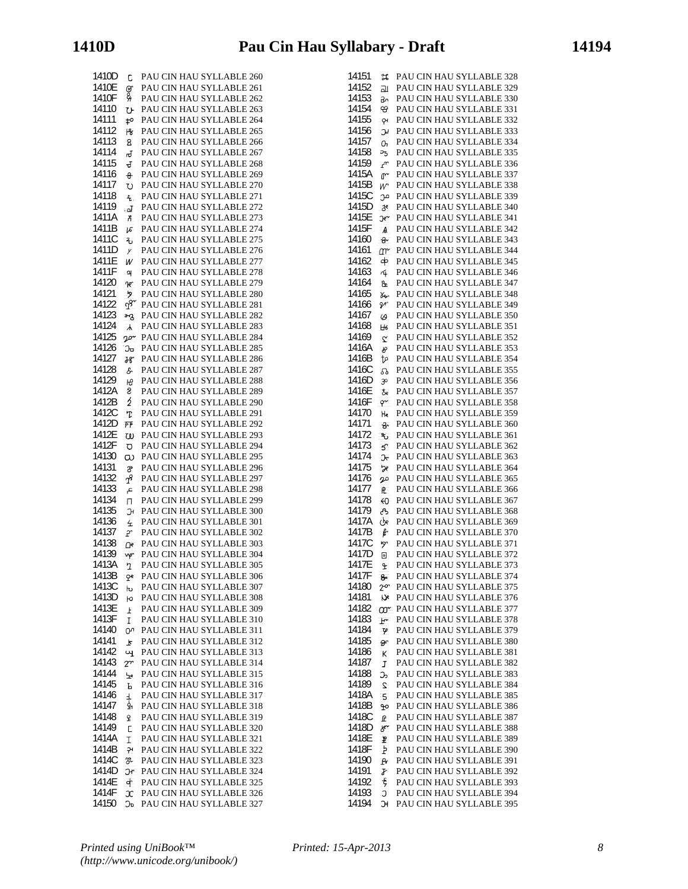| 1410D          | C                       | PAU CIN HAU SYLLABLE 260                             |
|----------------|-------------------------|------------------------------------------------------|
| 1410E          |                         | PAU CIN HAU SYLLABLE 261                             |
| 1410F          | eg<br>G                 | PAU CIN HAU SYLLABLE 262                             |
| 14110          | ひ                       | PAU CIN HAU SYLLABLE 263                             |
| 14111          | to.                     | PAU CIN HAU SYLLABLE 264                             |
| 14112          | ŀg                      | PAU CIN HAU SYLLABLE 265                             |
| 14113          | 8                       | PAU CIN HAU SYLLABLE 266                             |
| 14114          | ಕ                       | PAU CIN HAU SYLLABLE 267                             |
| 14115          | J                       | PAU CIN HAU SYLLABLE 268                             |
| 14116          | $\theta$                | PAU CIN HAU SYLLABLE 269                             |
| 14117          | U)                      | PAU CIN HAU SYLLABLE 270                             |
| 14118<br>14119 | $\mathbf{f}_\mathrm{c}$ | PAU CIN HAU SYLLABLE 271<br>PAU CIN HAU SYLLABLE 272 |
| 1411A          | .പ                      | PAU CIN HAU SYLLABLE 273                             |
| 1411B          | Å<br>lε                 | PAU CIN HAU SYLLABLE 274                             |
| 1411C          | مج                      | PAU CIN HAU SYLLABLE 275                             |
| 1411D          | У                       | PAU CIN HAU SYLLABLE 276                             |
| 1411E          | W                       | PAU CIN HAU SYLLABLE 277                             |
| 1411F          | 악                       | PAU CIN HAU SYLLABLE 278                             |
| 14120          | ባሮ                      | PAU CIN HAU SYLLABLE 279                             |
| 14121          | ヶ                       | PAU CIN HAU SYLLABLE 280                             |
| 14122          | Js.                     | PAU CIN HAU SYLLABLE 281                             |
| 14123          | ക്യ                     | PAU CIN HAU SYLLABLE 282                             |
| 14124          | $\lambda$               | PAU CIN HAU SYLLABLE 283                             |
| 14125          | vor                     | PAU CIN HAU SYLLABLE 284                             |
| 14126          | Ეჿ                      | PAU CIN HAU SYLLABLE 285                             |
| 14127          | ዜ                       | PAU CIN HAU SYLLABLE 286                             |
| 14128          | g.                      | PAU CIN HAU SYLLABLE 287                             |
| 14129          | Æ                       | PAU CIN HAU SYLLABLE 288                             |
| 1412A<br>1412B | 8<br>3                  | PAU CIN HAU SYLLABLE 289<br>PAU CIN HAU SYLLABLE 290 |
| 1412C          | T                       | PAU CIN HAU SYLLABLE 291                             |
| 1412D          | FF                      | PAU CIN HAU SYLLABLE 292                             |
| 1412E          | ω                       | PAU CIN HAU SYLLABLE 293                             |
| 1412F          | O                       | PAU CIN HAU SYLLABLE 294                             |
| 14130          | ω                       | PAU CIN HAU SYLLABLE 295                             |
| 14131          | 3                       | PAU CIN HAU SYLLABLE 296                             |
| 14132          | P                       | PAU CIN HAU SYLLABLE 297                             |
| 14133          | ع                       | PAU CIN HAU SYLLABLE 298                             |
| 14134          | П                       | PAU CIN HAU SYLLABLE 299                             |
| 14135          | Э                       | PAU CIN HAU SYLLABLE 300                             |
| 14136          | 仝                       | PAU CIN HAU SYLLABLE 301                             |
| 14137          | P                       | PAU CIN HAU SYLLABLE 302                             |
| 14138<br>14139 | ው                       | PAU CIN HAU SYLLABLE 303<br>PAU CIN HAU SYLLABLE 304 |
| 1413A          | vφ                      | PAU CIN HAU SYLLABLE 305                             |
| 1413B          | 7<br>ဝုရ                | PAU CIN HAU SYLLABLE 306                             |
| 1413C          | p,                      | PAU CIN HAU SYLLABLE 307                             |
| 1413D          | ю                       | PAU CIN HAU SYLLABLE 308                             |
| 1413E          | Ŧ                       | PAU CIN HAU SYLLABLE 309                             |
| 1413F          | L                       | PAU CIN HAU SYLLABLE 310                             |
| 14140          | ው                       | PAU CIN HAU SYLLABLE 311                             |
| 14141          | F                       | PAU CIN HAU SYLLABLE 312                             |
| 14142          | Щ                       | PAU CIN HAU SYLLABLE 313                             |
| 14143          | $2^{r}$                 | PAU CIN HAU SYLLABLE 314                             |
| 14144          | یں                      | PAU CIN HAU SYLLABLE 315                             |
| 14145<br>14146 | Ъ                       | PAU CIN HAU SYLLABLE 316                             |
| 14147          | Ŧ<br>₫                  | PAU CIN HAU SYLLABLE 317<br>PAU CIN HAU SYLLABLE 318 |
| 14148          | £                       | PAU CIN HAU SYLLABLE 319                             |
| 14149          | Ċ                       | PAU CIN HAU SYLLABLE 320                             |
| 1414A          | I                       | PAU CIN HAU SYLLABLE 321                             |
| 1414B          | ၣ၊                      | PAU CIN HAU SYLLABLE 322                             |
| 1414C          | œ.                      | PAU CIN HAU SYLLABLE 323                             |
| 1414D          | Эr                      | PAU CIN HAU SYLLABLE 324                             |
| 1414E          | ф                       | PAU CIN HAU SYLLABLE 325                             |
| 1414F          | x                       | PAU CIN HAU SYLLABLE 326                             |
| 14150          | Ეჿ                      | PAU CIN HAU SYLLABLE 327                             |

| 14151          | ೫                      | PAU CIN HAU SYLLABLE 328                             |
|----------------|------------------------|------------------------------------------------------|
| 14152          | ᇒ                      | PAU CIN HAU SYLLABLE 329                             |
| 14153          | ᠳ                      | PAU CIN HAU SYLLABLE 330                             |
| 14154          | ₩                      | PAU CIN HAU SYLLABLE 331                             |
| 14155          | <b>γ</b>               | PAU CIN HAU SYLLABLE 332                             |
| 14156          | ЭÏ                     | PAU CIN HAU SYLLABLE 333                             |
| 14157          | ዑ.                     | PAU CIN HAU SYLLABLE 334                             |
| 14158          | ავ                     | PAU CIN HAU SYLLABLE 335                             |
| 14159          | $\mathbf{r}$           | PAU CIN HAU SYLLABLE 336                             |
| 1415A          | ው                      | PAU CIN HAU SYLLABLE 337                             |
| 1415B          | W                      | PAU CIN HAU SYLLABLE 338                             |
| 1415C          | من                     | PAU CIN HAU SYLLABLE 339                             |
| 1415D          | 3e                     | PAU CIN HAU SYLLABLE 340                             |
| 1415E          | Эe∼                    | PAU CIN HAU SYLLABLE 341                             |
| 1415F          | A                      | PAU CIN HAU SYLLABLE 342                             |
| 14160          | ୫∼                     | PAU CIN HAU SYLLABLE 343                             |
| 14161          | Δ٣                     | PAU CIN HAU SYLLABLE 344                             |
| 14162          | ф                      | PAU CIN HAU SYLLABLE 345                             |
| 14163          | rÍ.                    | PAU CIN HAU SYLLABLE 346                             |
| 14164          | Ֆ                      | PAU CIN HAU SYLLABLE 347                             |
| 14165          | Yes.                   | PAU CIN HAU SYLLABLE 348                             |
| 14166          | ℱ                      | PAU CIN HAU SYLLABLE 349                             |
| 14167          | $\omega$               | PAU CIN HAU SYLLABLE 350                             |
| 14168          | H <sub>6</sub>         | PAU CIN HAU SYLLABLE 351                             |
| 14169          | $\tilde{C}$            | PAU CIN HAU SYLLABLE 352                             |
| 1416A          | b                      | PAU CIN HAU SYLLABLE 353                             |
| 1416B          | to                     | PAU CIN HAU SYLLABLE 354                             |
| 1416C          | ವಿ                     | PAU CIN HAU SYLLABLE 355                             |
| 1416D          | 30                     | PAU CIN HAU SYLLABLE 356                             |
| 1416E          | ර්e                    | PAU CIN HAU SYLLABLE 357                             |
| 1416F          | φ                      | PAU CIN HAU SYLLABLE 358                             |
| 14170          | He                     | PAU CIN HAU SYLLABLE 359                             |
| 14171          | -ಕ್                    | PAU CIN HAU SYLLABLE 360                             |
| 14172          | ზ                      | PAU CIN HAU SYLLABLE 361                             |
| 14173          | 5.                     | PAU CIN HAU SYLLABLE 362                             |
| 14174          | ᠍᠍ᢈ                    | PAU CIN HAU SYLLABLE 363                             |
| 14175          | æ                      | PAU CIN HAU SYLLABLE 364                             |
| 14176          | ρρ                     | PAU CIN HAU SYLLABLE 365                             |
| 14177          | $\mathsf{R}$           | PAU CIN HAU SYLLABLE 366                             |
| 14178          | $\leftrightarrow$      | PAU CIN HAU SYLLABLE 367                             |
| 14179          | Ą                      | PAU CIN HAU SYLLABLE 368                             |
| 1417A          | (be                    | PAU CIN HAU SYLLABLE 369                             |
| 1417B          | ę.                     | PAU CIN HAU SYLLABLE 370                             |
| 1417C          | b.                     | PAU CIN HAU SYLLABLE 371                             |
| 1417D          | 回                      | PAU CIN HAU SYLLABLE 372                             |
| 1417E          | £                      | PAU CIN HAU SYLLABLE 373                             |
| 1417F          | 8                      | PAU CIN HAU SYLLABLE 374                             |
| 14180          | $2^{\alpha}$           | PAU CIN HAU SYLLABLE 375                             |
| 14181<br>14182 | De                     | PAU CIN HAU SYLLABLE 376                             |
|                | $\alpha$ <sup>-</sup>  | PAU CIN HAU SYLLABLE 377                             |
| 14183          | $F^{\prime}$           | PAU CIN HAU SYLLABLE 378                             |
| 14184          | $\boldsymbol{\varphi}$ | PAU CIN HAU SYLLABLE 379                             |
| 14185          | Ò.                     | PAU CIN HAU SYLLABLE 380                             |
| 14186          | К                      | PAU CIN HAU SYLLABLE 381                             |
| 14187          | I                      | PAU CIN HAU SYLLABLE 382                             |
| 14188          | Ⴢ                      | PAU CIN HAU SYLLABLE 383<br>PAU CIN HAU SYLLABLE 384 |
| 14189<br>1418A | 2                      |                                                      |
| 1418B          | 5                      | PAU CIN HAU SYLLABLE 385<br>PAU CIN HAU SYLLABLE 386 |
| 1418C          | ٩o                     | PAU CIN HAU SYLLABLE 387                             |
| 1418D          | Ŀ<br>y۳                | PAU CIN HAU SYLLABLE 388                             |
| 1418E          |                        | PAU CIN HAU SYLLABLE 389                             |
| 1418F          | Ł<br>Ł                 | PAU CIN HAU SYLLABLE 390                             |
| 14190          | $_{\rm P}$             | PAU CIN HAU SYLLABLE 391                             |
| 14191          | F                      | PAU CIN HAU SYLLABLE 392                             |
| 14192          | Ę                      | PAU CIN HAU SYLLABLE 393                             |
| 14193          | C                      | PAU CIN HAU SYLLABLE 394                             |
| 14194          | Ħ.                     | PAU CIN HAU SYLLABLE 395                             |
|                |                        |                                                      |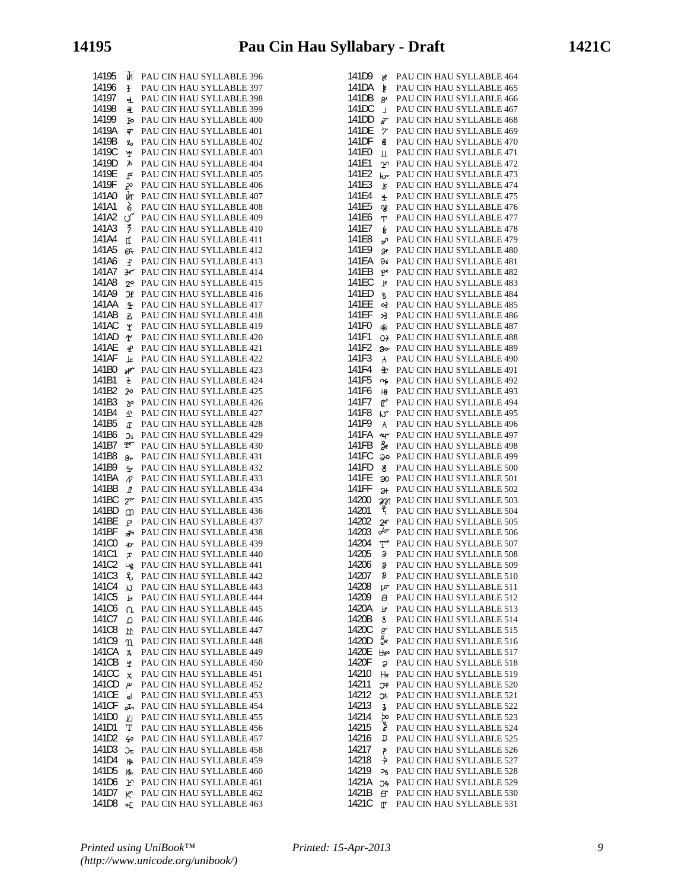14195 **M** PAU CIN HAU SYLLABLE 396 14196 **F** PAU CIN HAU SYLLABLE 397 14197 **a** PAU CIN HAU SYLLABLE 398 14198 **a** PAU CIN HAU SYLLABLE 399 14199 **PAU CIN HAU SYLLABLE 400** 1419A PAU CIN HAU SYLLABLE 401 1419B <sub>9</sub> PAU CIN HAU SYLLABLE 402 1419C PAU CIN HAU SYLLABLE 403 1419D  $\bar{P}$  PAU CIN HAU SYLLABLE 404 1419E **PAU CIN HAU SYLLABLE 405** PAU CIN HAU SYLLABLE 406 141A0 **PER THE CIN HAU STEERBEE** 100 141A1 **B** PAU CIN HAU SYLLABLE 408 141A2 <u>o<sup>o</sup></u> PAU CIN HAU SYLLABLE 409 141A3  $\frac{9}{7}$  PAU CIN HAU SYLLABLE 410 141A4 PAU CIN HAU SYLLABLE 411 141A5 **G** PAU CIN HAU SYLLABLE 412 141A6 PAU CIN HAU SYLLABLE 413 141A7 3e PAU CIN HAU SYLLABLE 414 141A8 <sub>2<sup>o</sup></sup> PAU CIN HAU SYLLABLE 415</sub> 141A9 OF PAU CIN HAU SYLLABLE 416 141AA **PELAU CIN HAU SYLLABLE 417** 141AB **B** PAU CIN HAU SYLLABLE 418 141AC **W** PAU CIN HAU SYLLABLE 419 141AD **PAU CIN HAU SYLLABLE 420** 141AE **PAU CIN HAU SYLLABLE 421** 141AF **L** PAU CIN HAU SYLLABLE 422 141B0 **PAU CIN HAU SYLLABLE 423** 141B1 **E** PAU CIN HAU SYLLABLE 424 141B2 PAU CIN HAU SYLLABLE 425 141B3 <sub>P</sub> PAU CIN HAU SYLLABLE 426 141B4  $\hat{\mathbf{\Sigma}}$  PAU CIN HAU SYLLABLE 427 141B5 **PAU CIN HAU SYLLABLE 428** 141B6  $\sigma$ <sub>2</sub> PAU CIN HAU SYLLABLE 429 141B7 T PAU CIN HAU SYLLABLE 430 141B8 PAU CIN HAU SYLLABLE 431 141B9 **FRU CIN HAU SYLLABLE 432** 141BA  $\tilde{N}$  PAU CIN HAU SYLLABLE 433 141BB **PAU CIN HAU SYLLABLE 434** 141BC  $2^m$  PAU CIN HAU SYLLABLE 435 141BD M PAU CIN HAU SYLLABLE 436 141BE PAU CIN HAU SYLLABLE 437 141BF **PAU CIN HAU SYLLABLE 438** 141C0  $\rightarrow$  PAU CIN HAU SYLLABLE 439 141C1 **PRAU CIN HAU SYLLABLE 440** 141C2 **ug** PAU CIN HAU SYLLABLE 441 141C3 PAU CIN HAU SYLLABLE 442 141C4 **N** PAU CIN HAU SYLLABLE 443 141C5 **PAU CIN HAU SYLLABLE 444** 141C6 Q PAU CIN HAU SYLLABLE 445 141C7 Q PAU CIN HAU SYLLABLE 446 141C8 **M** PAU CIN HAU SYLLABLE 447 141C9 T PAU CIN HAU SYLLABLE 448 141CA & PAU CIN HAU SYLLABLE 449 141CB PAU CIN HAU SYLLABLE 450 141CC **R** PAU CIN HAU SYLLABLE 451 141CD PAU CIN HAU SYLLABLE 452 141CE J PAU CIN HAU SYLLABLE 453 141CF JL PAU CIN HAU SYLLABLE 454 141D0  $\underline{v}$  PAU CIN HAU SYLLABLE 455 141D1 T PAU CIN HAU SYLLABLE 456 141D2  $\leftarrow$  PAU CIN HAU SYLLABLE 457 141D3 **DE** PAU CIN HAU SYLLABLE 458 141D4 **& PAU CIN HAU SYLLABLE 459** 141D5 **R** PAU CIN HAU SYLLABLE 460 141D6 PAU CIN HAU SYLLABLE 461 141D7 **PAU CIN HAU SYLLABLE 462** 141D8 **of** PAU CIN HAU SYLLABLE 463

| 141D9                                     | PAU CIN HAU SYLLABLE 464 |
|-------------------------------------------|--------------------------|
| у<br>141DA                                | PAU CIN HAU SYLLABLE 465 |
| Þ<br>141DB                                |                          |
| g                                         | PAU CIN HAU SYLLABLE 466 |
| 141 <sub>DC</sub><br>J.                   | PAU CIN HAU SYLLABLE 467 |
| 141DD<br>gr                               | PAU CIN HAU SYLLABLE 468 |
| 141DE<br>ヶ                                | PAU CIN HAU SYLLABLE 469 |
| 141DF<br>$\epsilon$                       | PAU CIN HAU SYLLABLE 470 |
| 141E0<br>$\mathbf{\overline{\mathbf{H}}}$ | PAU CIN HAU SYLLABLE 471 |
| 141E1<br>ഹ                                | PAU CIN HAU SYLLABLE 472 |
| 141E2<br>hr                               | PAU CIN HAU SYLLABLE 473 |
| 141E3<br>Ŀ                                | PAU CIN HAU SYLLABLE 474 |
| 141E4<br>Ŧ                                | PAU CIN HAU SYLLABLE 475 |
| 141E5<br>വൃ                               | PAU CIN HAU SYLLABLE 476 |
| 141E6<br>T.                               | PAU CIN HAU SYLLABLE 477 |
| 141E7<br>é                                | PAU CIN HAU SYLLABLE 478 |
| 141E8                                     | PAU CIN HAU SYLLABLE 479 |
| ৵<br>141E9                                | PAU CIN HAU SYLLABLE 480 |
| Э¢<br>141EA                               |                          |
| дъ                                        | PAU CIN HAU SYLLABLE 481 |
| 141EB<br>$\mathbf{P}^{\mathbf{e}}$        | PAU CIN HAU SYLLABLE 482 |
| 141EC<br>$\mathbf{F}$                     | PAU CIN HAU SYLLABLE 483 |
| 141ED<br>s.                               | PAU CIN HAU SYLLABLE 484 |
| 141EE<br>03                               | PAU CIN HAU SYLLABLE 485 |
| 141EF<br>ઝ                                | PAU CIN HAU SYLLABLE 486 |
| 141F0<br>Ф                                | PAU CIN HAU SYLLABLE 487 |
| 141F1<br>$\Theta$                         | PAU CIN HAU SYLLABLE 488 |
| 141F2<br>Эo                               | PAU CIN HAU SYLLABLE 489 |
| 141F3<br>$\mathcal{A}$                    | PAU CIN HAU SYLLABLE 490 |
| 141F4<br>ቅ                                | PAU CIN HAU SYLLABLE 491 |
| 141F5                                     | PAU CIN HAU SYLLABLE 492 |
| $\sim$                                    |                          |
| 141F6<br>18                               | PAU CIN HAU SYLLABLE 493 |
| 141F7<br>r                                | PAU CIN HAU SYLLABLE 494 |
| 141F8<br>٣L                               | PAU CIN HAU SYLLABLE 495 |
| 141F9<br>$\mathsf{A}$                     | PAU CIN HAU SYLLABLE 496 |
| <b>141FA</b><br>нr                        | PAU CIN HAU SYLLABLE 497 |
| ge<br>141FB                               | PAU CIN HAU SYLLABLE 498 |
| 141FC<br>ခုဝ                              | PAU CIN HAU SYLLABLE 499 |
| 141FD<br>8                                | PAU CIN HAU SYLLABLE 500 |
| <b>141FE</b><br>œ                         | PAU CIN HAU SYLLABLE 501 |
| 141FF<br>Эł                               | PAU CIN HAU SYLLABLE 502 |
| 14200<br>M                                | PAU CIN HAU SYLLABLE 503 |
| 14201<br>z                                | PAU CIN HAU SYLLABLE 504 |
| 14202<br>2۴                               | PAU CIN HAU SYLLABLE 505 |
| 14203<br>for                              | PAU CIN HAU SYLLABLE 506 |
| 14204                                     |                          |
| ፐ*                                        | PAU CIN HAU SYLLABLE 507 |
| 14205<br>д                                | PAU CIN HAU SYLLABLE 508 |
| 14206<br>Д                                | PAU CIN HAU SYLLABLE 509 |
| 14207<br>Ð                                | PAU CIN HAU SYLLABLE 510 |
| 14208<br>ما                               | PAU CIN HAU SYLLABLE 511 |
| 14209<br>A                                | PAU CIN HAU SYLLABLE 512 |
| 1420A<br>F                                | PAU CIN HAU SYLLABLE 513 |
| 1420B<br>δ                                | PAU CIN HAU SYLLABLE 514 |
| 1420C<br>p                                | PAU CIN HAU SYLLABLE 515 |
| g.<br>1420D                               | PAU CIN HAU SYLLABLE 516 |
| 1420E<br>Њ                                | PAU CIN HAU SYLLABLE 517 |
| 1420F<br>ð                                | PAU CIN HAU SYLLABLE 518 |
| 14210                                     | PAU CIN HAU SYLLABLE 519 |
| $H_8$                                     |                          |
| 14211<br>Æ                                | PAU CIN HAU SYLLABLE 520 |
| 14212<br>C,                               | PAU CIN HAU SYLLABLE 521 |
| 14213<br>$\overline{\mathbf{3}}$          | PAU CIN HAU SYLLABLE 522 |
| 14214<br>ىل<br>مى                         | PAU CIN HAU SYLLABLE 523 |
| 14215                                     | PAU CIN HAU SYLLABLE 524 |
| 14216<br>D                                | PAU CIN HAU SYLLABLE 525 |
| 14217<br>م                                | PAU CIN HAU SYLLABLE 526 |
| 14218<br>÷,                               | PAU CIN HAU SYLLABLE 527 |
| 14219<br>್ರ                               | PAU CIN HAU SYLLABLE 528 |
| 1421A<br>J¢                               | PAU CIN HAU SYLLABLE 529 |
| 1421B<br>B                                | PAU CIN HAU SYLLABLE 530 |
| 1421C<br>L.                               | PAU CIN HAU SYLLABLE 531 |
|                                           |                          |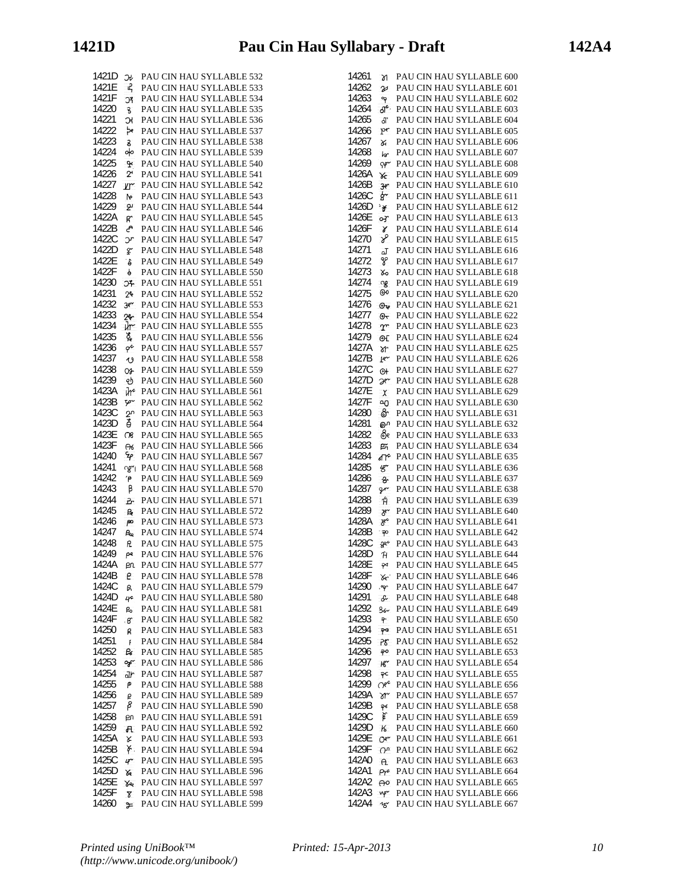| 1421D          | Эł                     | PAU CIN HAU SYLLABLE 532                             |
|----------------|------------------------|------------------------------------------------------|
| 1421E          | ዳ                      | PAU CIN HAU SYLLABLE 533                             |
| 1421F          | ĴΪ                     | PAU CIN HAU SYLLABLE 534                             |
| 14220          | ŝ.                     | PAU CIN HAU SYLLABLE 535                             |
| 14221          | R                      | PAU CIN HAU SYLLABLE 536                             |
| 14222          | ەم                     | PAU CIN HAU SYLLABLE 537                             |
| 14223          | S.                     | PAU CIN HAU SYLLABLE 538                             |
| 14224          | oю                     | PAU CIN HAU SYLLABLE 539                             |
| 14225          | ¥                      | PAU CIN HAU SYLLABLE 540                             |
| 14226          | 21                     | PAU CIN HAU SYLLABLE 541                             |
| 14227          | $Y^{\prime}$           | PAU CIN HAU SYLLABLE 542                             |
| 14228          | b                      | PAU CIN HAU SYLLABLE 543                             |
| 14229          | 2                      | PAU CIN HAU SYLLABLE 544                             |
| 1422A          | ď.                     | PAU CIN HAU SYLLABLE 545                             |
| 1422B          | උ                      | PAU CIN HAU SYLLABLE 546                             |
| 1422C          | Jг                     | PAU CIN HAU SYLLABLE 547                             |
| 1422D          | F                      | PAU CIN HAU SYLLABLE 548                             |
| 1422E          | ة:                     | PAU CIN HAU SYLLABLE 549                             |
| 1422F          | ę                      | PAU CIN HAU SYLLABLE 550                             |
| 14230          | JЪ                     | PAU CIN HAU SYLLABLE 551                             |
| 14231          | 2 <sup>6</sup>         | PAU CIN HAU SYLLABLE 552                             |
| 14232          | $30^{\circ}$           | PAU CIN HAU SYLLABLE 553                             |
| 14233          | 2۴                     | PAU CIN HAU SYLLABLE 554                             |
| 14234          | ū٣                     | PAU CIN HAU SYLLABLE 555                             |
| 14235          | ፚ፟                     | PAU CIN HAU SYLLABLE 556                             |
| 14236          | $\varphi^{\mathsf{c}}$ | PAU CIN HAU SYLLABLE 557                             |
| 14237          | $\mathbf{\hat{O}}$     | PAU CIN HAU SYLLABLE 558                             |
| 14238          | Os-                    | PAU CIN HAU SYLLABLE 559                             |
| 14239          | ৶                      | PAU CIN HAU SYLLABLE 560                             |
| 1423A          | ū٣                     | PAU CIN HAU SYLLABLE 561                             |
| 1423B          | Ψ                      | PAU CIN HAU SYLLABLE 562                             |
| 1423C          | 20                     | PAU CIN HAU SYLLABLE 563                             |
| 1423D          | ě                      | PAU CIN HAU SYLLABLE 564                             |
| 1423E          | റു                     | PAU CIN HAU SYLLABLE 565                             |
| 1423F          | $\overline{\sigma}$    | PAU CIN HAU SYLLABLE 566                             |
| 14240          | ۶p                     | PAU CIN HAU SYLLABLE 567                             |
| 14241          | ಞ                      | PAU CIN HAU SYLLABLE 568                             |
| 14242          | ۴Ρ.                    | PAU CIN HAU SYLLABLE 569                             |
| 14243<br>14244 | β                      | PAU CIN HAU SYLLABLE 570<br>PAU CIN HAU SYLLABLE 571 |
| 14245          | Pr                     | PAU CIN HAU SYLLABLE 572                             |
| 14246          | P.                     | PAU CIN HAU SYLLABLE 573                             |
| 14247          | po<br>$R_{\rm e}$      | PAU CIN HAU SYLLABLE 574                             |
| 14248          | R.                     | PAU CIN HAU SYLLABLE 575                             |
| 14249          | ρе                     | PAU CIN HAU SYLLABLE 576                             |
| 1424A          | ρn                     | PAU CIN HAU SYLLABLE 577                             |
| 1424B          | e                      | PAU CIN HAU SYLLABLE 578                             |
| 1424C          | B.                     | PAU CIN HAU SYLLABLE 579                             |
| 1424D          | 40                     | PAU CIN HAU SYLLABLE 580                             |
| 1424E          | ዀ                      | PAU CIN HAU SYLLABLE 581                             |
| 1424F          | Β.                     | PAU CIN HAU SYLLABLE 582                             |
| 14250          | R                      | PAU CIN HAU SYLLABLE 583                             |
| 14251          | Ŧ                      | PAU CIN HAU SYLLABLE 584                             |
| 14252          | G                      | PAU CIN HAU SYLLABLE 585                             |
| 14253          | วิ                     | PAU CIN HAU SYLLABLE 586                             |
| 14254          | ٦r                     | PAU CIN HAU SYLLABLE 587                             |
| 14255          | ۴                      | PAU CIN HAU SYLLABLE 588                             |
| 14256          | ₽                      | PAU CIN HAU SYLLABLE 589                             |
| 14257          | β                      | PAU CIN HAU SYLLABLE 590                             |
| 14258          | Ы                      | PAU CIN HAU SYLLABLE 591                             |
| 14259          | $\mathbf{H}$           | PAU CIN HAU SYLLABLE 592                             |
| 1425A<br>1425B | Χ<br>γ.                | PAU CIN HAU SYLLABLE 593<br>PAU CIN HAU SYLLABLE 594 |
| 1425C          | $4^{\circ}$            | PAU CIN HAU SYLLABLE 595                             |
| 1425D          | X                      | PAU CIN HAU SYLLABLE 596                             |
| 1425E          | Ye                     | PAU CIN HAU SYLLABLE 597                             |
| 1425F          | 8                      | PAU CIN HAU SYLLABLE 598                             |
| 14260          | ⊁                      | PAU CIN HAU SYLLABLE 599                             |

| 14261 |                            | PAU CIN HAU SYLLABLE 600 |
|-------|----------------------------|--------------------------|
|       | <b>M</b>                   |                          |
| 14262 | V                          | PAU CIN HAU SYLLABLE 601 |
| 14263 | ግ                          | PAU CIN HAU SYLLABLE 602 |
| 14264 | $\mathcal{A}^{\mathbf{c}}$ | PAU CIN HAU SYLLABLE 603 |
| 14265 | ď                          | PAU CIN HAU SYLLABLE 604 |
| 14266 | pr                         | PAU CIN HAU SYLLABLE 605 |
|       |                            |                          |
| 14267 | X                          | PAU CIN HAU SYLLABLE 606 |
| 14268 | ١ď                         | PAU CIN HAU SYLLABLE 607 |
| 14269 | $\gamma$                   | PAU CIN HAU SYLLABLE 608 |
| 1426A | YE                         | PAU CIN HAU SYLLABLE 609 |
| 1426B |                            | PAU CIN HAU SYLLABLE 610 |
| 1426C | 3er                        |                          |
|       | ģ~                         | PAU CIN HAU SYLLABLE 611 |
| 1426D | ¥                          | PAU CIN HAU SYLLABLE 612 |
| 1426E | оr                         | PAU CIN HAU SYLLABLE 613 |
| 1426F | γ                          | PAU CIN HAU SYLLABLE 614 |
| 14270 | y                          | PAU CIN HAU SYLLABLE 615 |
| 14271 |                            |                          |
|       | آھ                         | PAU CIN HAU SYLLABLE 616 |
| 14272 | ೪                          | PAU CIN HAU SYLLABLE 617 |
| 14273 | Х0                         | PAU CIN HAU SYLLABLE 618 |
| 14274 | ്യു                        | PAU CIN HAU SYLLABLE 619 |
| 14275 | 00                         | PAU CIN HAU SYLLABLE 620 |
|       |                            |                          |
| 14276 | $\Theta$                   | PAU CIN HAU SYLLABLE 621 |
| 14277 | Θ∼                         | PAU CIN HAU SYLLABLE 622 |
| 14278 | $\Upsilon$                 | PAU CIN HAU SYLLABLE 623 |
| 14279 | Θſ                         | PAU CIN HAU SYLLABLE 624 |
| 1427A | ðr                         | PAU CIN HAU SYLLABLE 625 |
| 1427B |                            |                          |
|       | ŀ٣                         | PAU CIN HAU SYLLABLE 626 |
| 1427C | 0ł                         | PAU CIN HAU SYLLABLE 627 |
| 1427D | Эe                         | PAU CIN HAU SYLLABLE 628 |
| 1427E | $\chi$                     | PAU CIN HAU SYLLABLE 629 |
| 1427F | ഘ                          | PAU CIN HAU SYLLABLE 630 |
| 14280 |                            |                          |
|       | ଙి                         | PAU CIN HAU SYLLABLE 631 |
| 14281 | ൙                          | PAU CIN HAU SYLLABLE 632 |
| 14282 | ලීද                        | PAU CIN HAU SYLLABLE 633 |
| 14283 | 啠                          | PAU CIN HAU SYLLABLE 634 |
| 14284 | ď۴                         | PAU CIN HAU SYLLABLE 635 |
| 14285 |                            | PAU CIN HAU SYLLABLE 636 |
|       | $\mathscr{G}$              |                          |
| 14286 | $\mathbf{e}$               | PAU CIN HAU SYLLABLE 637 |
| 14287 | $\mathsf{P}$               | PAU CIN HAU SYLLABLE 638 |
| 14288 | Ĥ                          | PAU CIN HAU SYLLABLE 639 |
| 14289 | హ                          | PAU CIN HAU SYLLABLE 640 |
| 1428A |                            | PAU CIN HAU SYLLABLE 641 |
|       | ж۴                         |                          |
| 1428B | နာ                         | PAU CIN HAU SYLLABLE 642 |
| 1428C | କଝ                         | PAU CIN HAU SYLLABLE 643 |
| 1428D | Ή                          | PAU CIN HAU SYLLABLE 644 |
| 1428E | P٩                         | PAU CIN HAU SYLLABLE 645 |
| 1428F |                            | PAU CIN HAU SYLLABLE 646 |
|       | Xe'                        |                          |
| 14290 | ج.                         | PAU CIN HAU SYLLABLE 647 |
| 14291 | $\mathcal{L}$              | PAU CIN HAU SYLLABLE 648 |
| 14292 | $86 -$                     | PAU CIN HAU SYLLABLE 649 |
| 14293 | ᡨ                          | PAU CIN HAU SYLLABLE 650 |
| 14294 | 90.                        | PAU CIN HAU SYLLABLE 651 |
| 14295 |                            | PAU CIN HAU SYLLABLE 652 |
|       | ΡΕ                         |                          |
| 14296 | ခု၀                        | PAU CIN HAU SYLLABLE 653 |
| 14297 | $H^{\sim}$                 | PAU CIN HAU SYLLABLE 654 |
| 14298 | ခုင                        | PAU CIN HAU SYLLABLE 655 |
| 14299 | <b>Opt</b>                 | PAU CIN HAU SYLLABLE 656 |
| 1429A | λm                         | PAU CIN HAU SYLLABLE 657 |
|       |                            |                          |
| 1429B | ခုန                        | PAU CIN HAU SYLLABLE 658 |
| 1429C | 窤                          | PAU CIN HAU SYLLABLE 659 |
| 1429D | $\kappa$                   | PAU CIN HAU SYLLABLE 660 |
| 1429E | Oer                        | PAU CIN HAU SYLLABLE 661 |
| 1429F | O <sup>n</sup>             | PAU CIN HAU SYLLABLE 662 |
| 142A0 |                            |                          |
|       | $\theta$                   | PAU CIN HAU SYLLABLE 663 |
| 142A1 | $Pr^e$                     | PAU CIN HAU SYLLABLE 664 |
| 142A2 | $\Theta^{\rm o}$           | PAU CIN HAU SYLLABLE 665 |
| 142A3 | wμη                        | PAU CIN HAU SYLLABLE 666 |
| 142A4 | 18                         | PAU CIN HAU SYLLABLE 667 |
|       |                            |                          |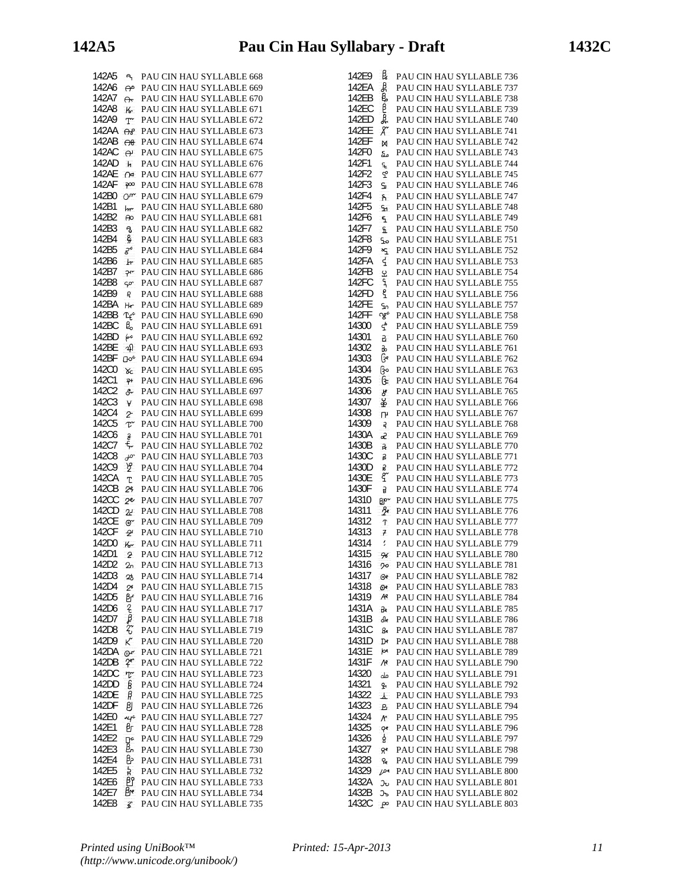142A5 **A PAU CIN HAU SYLLABLE 668** 142A6 **PAU CIN HAU SYLLABLE 669** 142A7 **A PAU CIN HAU SYLLABLE 670** 142A8 **K** PAU CIN HAU SYLLABLE 671 142A9 T PAU CIN HAU SYLLABLE 672 142AA **OP** PAU CIN HAU SYLLABLE 673 142AB **OB** PAU CIN HAU SYLLABLE 674 142AC **P** PAU CIN HAU SYLLABLE 675 142AD **F** PAU CIN HAU SYLLABLE 676 142AE  $\cap$  PAU CIN HAU SYLLABLE 677 142AF  $\infty$  PAU CIN HAU SYLLABLE 678 142B0 Om PAU CIN HAU SYLLABLE 679 142B1 **by** PAU CIN HAU SYLLABLE 680 142B2 <del>P</del><br>142B2 <del>P</del><br>**PAU CIN HAU SYLLABLE 681** 142B3 B PAU CIN HAU SYLLABLE 682 142B4 PAU CIN HAU SYLLABLE 683 142B5  $\vec{s}^e$  PAU CIN HAU SYLLABLE 684 142B6 Fr PAU CIN HAU SYLLABLE 685 142B7 PAU CIN HAU SYLLABLE 686 142B8 PAU CIN HAU SYLLABLE 687 142B9 **PAU CIN HAU SYLLABLE 688** 142BA He PAU CIN HAU SYLLABLE 689 142BB Te<sup>\*</sup> PAU CIN HAU SYLLABLE 690 142BC  $\frac{1}{6}$  PAU CIN HAU SYLLABLE 691 142BD  $\leftrightarrow$  PAU CIN HAU SYLLABLE 692 142BE  $\overline{A}$  PAU CIN HAU SYLLABLE 693 142BF **Do<sup>6</sup> PAU CIN HAU SYLLABLE 694** 142C0 **X**<sub>C</sub> PAU CIN HAU SYLLABLE 695 142C1 PAU CIN HAU SYLLABLE 696 142C2 & PAU CIN HAU SYLLABLE 697 142C3 **V** PAU CIN HAU SYLLABLE 698 142C4 PAU CIN HAU SYLLABLE 699 142C5  $\overline{\mathcal{X}}$  PAU CIN HAU SYLLABLE 700 142C6 **B** PAU CIN HAU SYLLABLE 701 142C7  $\frac{2}{3}$  PAU CIN HAU SYLLABLE 702 142C8  $\rightarrow \infty$  PAU CIN HAU SYLLABLE 703 142C9  $\frac{96}{2}$  PAU CIN HAU SYLLABLE 704 142CA PAU CIN HAU SYLLABLE 705 142CB PAU CIN HAU SYLLABLE 706 142CC <sub>2</sub><sup>e</sup> PAU CIN HAU SYLLABLE 707 142CD **22** PAU CIN HAU SYLLABLE 708 142CE TO PAU CIN HAU SYLLABLE 709 142CF  $\rightarrow$  PAU CIN HAU SYLLABLE 710 142D0 **K**<sub>2</sub> PAU CIN HAU SYLLABLE 711 142D1 **PRU CIN HAU SYLLABLE 712** 142D2 PAU CIN HAU SYLLABLE 713 142D3 PAU CIN HAU SYLLABLE 714 142D4 <sub>2</sub><sup>6</sup> PAU CIN HAU SYLLABLE 715 142D5 BF PAU CIN HAU SYLLABLE 716 142D6  $\overline{?}$  PAU CIN HAU SYLLABLE 717<br>142D7  $\overline{?}$  PAU CIN HAU SYLLABLE 718 142D7 **P** PAU CIN HAU SYLLABLE 718 142D8  $\frac{27}{3}$  PAU CIN HAU SYLLABLE 719 142D8  $\frac{2}{K}$  PAU CIN HAU SYLLABLE 719<br>142D9  $\frac{2}{K}$  PAU CIN HAU SYLLABLE 720 142DA  $\overline{OP}$  PAU CIN HAU SYLLABLE 721 142DB  $\frac{1}{2}$  PAU CIN HAU SYLLABLE 722 142DC Tr PAU CIN HAU SYLLABLE 723 142DD **B** PAU CIN HAU SYLLABLE 724 142DE **P** PAU CIN HAU SYLLABLE 725 142DF PAU CIN HAU SYLLABLE 726 142E0  $\frac{1}{4}$  PAU CIN HAU SYLLABLE 727 142E1 **B** PAU CIN HAU SYLLABLE 728  $142E2$   $p_e$  PAU CIN HAU SYLLABLE 729 142E3 **B**<sub>1</sub> PAU CIN HAU SYLLABLE 730 142E4 **B** PAU CIN HAU SYLLABLE 731 142E5 **PAU CIN HAU SYLLABLE** 732 142E6 **P** PAU CIN HAU SYLLABLE 733 142E7 **B**<sup>e</sup> PAU CIN HAU SYLLABLE 734 142E8 **3** PAU CIN HAU SYLLABLE 735

| 142E9 | B.                 | PAU CIN HAU SYLLABLE 736 |
|-------|--------------------|--------------------------|
| 142EA | ₿                  | PAU CIN HAU SYLLABLE 737 |
|       |                    |                          |
| 142EB | ę,                 | PAU CIN HAU SYLLABLE 738 |
| 142EC | β                  | PAU CIN HAU SYLLABLE 739 |
| 142ED | ዴ                  | PAU CIN HAU SYLLABLE 740 |
| 142EE | Х                  | PAU CIN HAU SYLLABLE 741 |
|       |                    |                          |
| 142EF | M                  | PAU CIN HAU SYLLABLE 742 |
| 142F0 | مه                 | PAU CIN HAU SYLLABLE 743 |
| 142F1 | £                  | PAU CIN HAU SYLLABLE 744 |
| 142F2 | ᢡ                  | PAU CIN HAU SYLLABLE 745 |
|       |                    |                          |
| 142F3 | S.                 | PAU CIN HAU SYLLABLE 746 |
| 142F4 | ĥ.                 | PAU CIN HAU SYLLABLE 747 |
| 142F5 | Sn.                | PAU CIN HAU SYLLABLE 748 |
| 142F6 | ٩                  | PAU CIN HAU SYLLABLE 749 |
| 142F7 |                    |                          |
|       | £                  | PAU CIN HAU SYLLABLE 750 |
| 142F8 | ٩o                 | PAU CIN HAU SYLLABLE 751 |
| 142F9 | ۰ç                 | PAU CIN HAU SYLLABLE 752 |
| 142FA | ₹                  | PAU CIN HAU SYLLABLE 753 |
| 142FB |                    | PAU CIN HAU SYLLABLE 754 |
|       | £                  |                          |
| 142FC | 9                  | PAU CIN HAU SYLLABLE 755 |
| 142FD | g                  | PAU CIN HAU SYLLABLE 756 |
| 142FE | ٩n                 | PAU CIN HAU SYLLABLE 757 |
| 142FF | ഏ¢                 | PAU CIN HAU SYLLABLE 758 |
|       |                    |                          |
| 14300 | <u>ኇ</u>           | PAU CIN HAU SYLLABLE 759 |
| 14301 | 5                  | PAU CIN HAU SYLLABLE 760 |
| 14302 | ю                  | PAU CIN HAU SYLLABLE 761 |
| 14303 | ક્રિ               | PAU CIN HAU SYLLABLE 762 |
|       |                    |                          |
| 14304 | နြဝ                | PAU CIN HAU SYLLABLE 763 |
| 14305 | ઉત્                | PAU CIN HAU SYLLABLE 764 |
| 14306 | சீ                 | PAU CIN HAU SYLLABLE 765 |
| 14307 | နိ                 | PAU CIN HAU SYLLABLE 766 |
| 14308 |                    |                          |
|       | ſ۲                 | PAU CIN HAU SYLLABLE 767 |
| 14309 | 5                  | PAU CIN HAU SYLLABLE 768 |
| 1430A | æ                  | PAU CIN HAU SYLLABLE 769 |
| 1430B | R                  | PAU CIN HAU SYLLABLE 770 |
| 1430C | 5                  | PAU CIN HAU SYLLABLE 771 |
|       |                    |                          |
| 1430D | g                  | PAU CIN HAU SYLLABLE 772 |
| 1430E | ξ                  | PAU CIN HAU SYLLABLE 773 |
| 1430F | g                  | PAU CIN HAU SYLLABLE 774 |
| 14310 | Blo∼               | PAU CIN HAU SYLLABLE 775 |
|       |                    |                          |
| 14311 | ge.                | PAU CIN HAU SYLLABLE 776 |
| 14312 | T                  | PAU CIN HAU SYLLABLE 777 |
| 14313 | 7                  | PAU CIN HAU SYLLABLE 778 |
| 14314 | ŗ                  | PAU CIN HAU SYLLABLE 779 |
|       |                    |                          |
| 14315 | 96                 | PAU CIN HAU SYLLABLE 780 |
| 14316 | 90                 | PAU CIN HAU SYLLABLE 781 |
| 14317 | $\Theta$ e         | PAU CIN HAU SYLLABLE 782 |
| 14318 | O۴                 | PAU CIN HAU SYLLABLE 783 |
| 14319 | Æ۴                 | PAU CIN HAU SYLLABLE 784 |
|       |                    |                          |
| 1431A | ᇠ                  | PAU CIN HAU SYLLABLE 785 |
| 1431B | dk                 | PAU CIN HAU SYLLABLE 786 |
| 1431C | ge                 | PAU CIN HAU SYLLABLE 787 |
| 1431D | Dе                 | PAU CIN HAU SYLLABLE 788 |
| 1431E | þФ                 | PAU CIN HAU SYLLABLE 789 |
|       |                    |                          |
| 1431F | $\sqrt{6}$         | PAU CIN HAU SYLLABLE 790 |
| 14320 | مله                | PAU CIN HAU SYLLABLE 791 |
| 14321 | q,                 | PAU CIN HAU SYLLABLE 792 |
| 14322 |                    | PAU CIN HAU SYLLABLE 793 |
|       | $\mathbf{r}$       |                          |
| 14323 | $\mathbf{P}_{\!1}$ | PAU CIN HAU SYLLABLE 794 |
| 14324 | $\mathcal{N}$      | PAU CIN HAU SYLLABLE 795 |
| 14325 | $Q$ e              | PAU CIN HAU SYLLABLE 796 |
| 14326 | \$                 | PAU CIN HAU SYLLABLE 797 |
|       |                    |                          |
| 14327 | $R^e$              | PAU CIN HAU SYLLABLE 798 |
| 14328 | ę                  | PAU CIN HAU SYLLABLE 799 |
| 14329 | Dе                 | PAU CIN HAU SYLLABLE 800 |
| 1432A | ᠊ᢅ                 | PAU CIN HAU SYLLABLE 801 |
| 1432B |                    | PAU CIN HAU SYLLABLE 802 |
|       | ᢃ᠊                 |                          |
| 1432C | $P^{\circ}$        | PAU CIN HAU SYLLABLE 803 |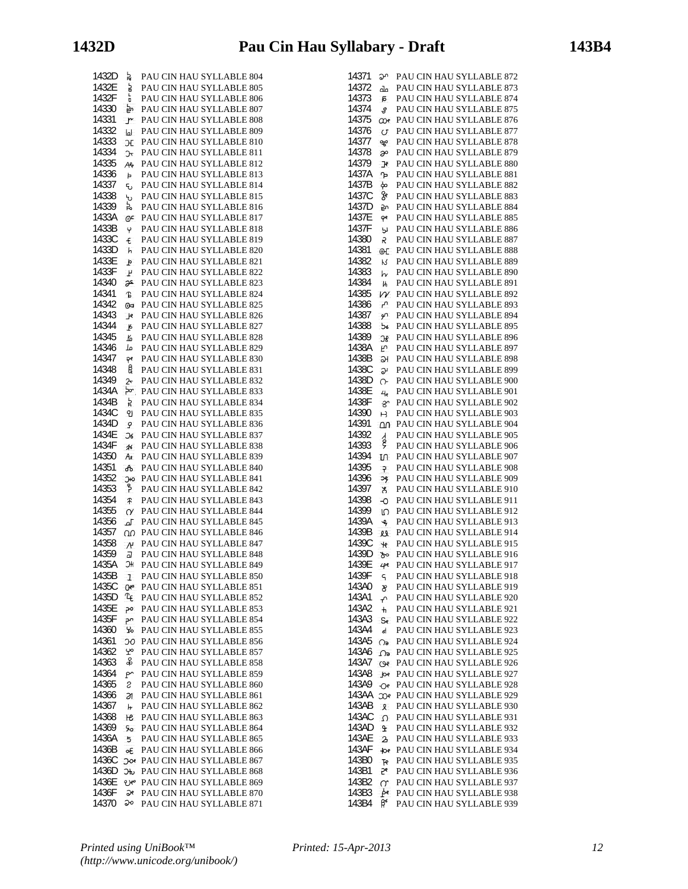| 1432D | ង្គ                     | PAU CIN HAU SYLLABLE 804 |
|-------|-------------------------|--------------------------|
| 1432E | à                       | PAU CIN HAU SYLLABLE 805 |
| 1432F |                         | PAU CIN HAU SYLLABLE 806 |
| 14330 | O<br>ېم                 | PAU CIN HAU SYLLABLE 807 |
| 14331 |                         | PAU CIN HAU SYLLABLE 808 |
| 14332 | r                       | PAU CIN HAU SYLLABLE 809 |
| 14333 | اما                     | PAU CIN HAU SYLLABLE 810 |
|       | ЭE                      |                          |
| 14334 | ᠧ                       | PAU CIN HAU SYLLABLE 811 |
| 14335 | Alp                     | PAU CIN HAU SYLLABLE 812 |
| 14336 | Þ.                      | PAU CIN HAU SYLLABLE 813 |
| 14337 | ್ರ                      | PAU CIN HAU SYLLABLE 814 |
| 14338 | ᡃᠣ                      | PAU CIN HAU SYLLABLE 815 |
| 14339 | ኔ                       | PAU CIN HAU SYLLABLE 816 |
| 1433A | ⊕≏                      | PAU CIN HAU SYLLABLE 817 |
| 1433B | Ÿ                       | PAU CIN HAU SYLLABLE 818 |
| 1433C | £                       | PAU CIN HAU SYLLABLE 819 |
| 1433D | h                       | PAU CIN HAU SYLLABLE 820 |
| 1433E | þ                       | PAU CIN HAU SYLLABLE 821 |
| 1433F | $\mathbf{F}$            | PAU CIN HAU SYLLABLE 822 |
| 14340 | æ                       | PAU CIN HAU SYLLABLE 823 |
| 14341 | Ъ                       | PAU CIN HAU SYLLABLE 824 |
| 14342 | O                       | PAU CIN HAU SYLLABLE 825 |
| 14343 | $\mathbf{F}$            | PAU CIN HAU SYLLABLE 826 |
| 14344 | $\overline{\mathbf{b}}$ | PAU CIN HAU SYLLABLE 827 |
| 14345 | K                       | PAU CIN HAU SYLLABLE 828 |
| 14346 | مل                      | PAU CIN HAU SYLLABLE 829 |
| 14347 | ą۴                      | PAU CIN HAU SYLLABLE 830 |
| 14348 | ę                       | PAU CIN HAU SYLLABLE 831 |
| 14349 | $\mathsf{z}$            | PAU CIN HAU SYLLABLE 832 |
| 1434A | ↣                       | PAU CIN HAU SYLLABLE 833 |
| 1434B | Ř                       | PAU CIN HAU SYLLABLE 834 |
| 1434C | ၅                       | PAU CIN HAU SYLLABLE 835 |
| 1434D |                         | PAU CIN HAU SYLLABLE 836 |
| 1434E | q                       | PAU CIN HAU SYLLABLE 837 |
| 1434F | Эć                      |                          |
|       | $\boldsymbol{\pi}$      | PAU CIN HAU SYLLABLE 838 |
| 14350 | Ax                      | PAU CIN HAU SYLLABLE 839 |
| 14351 | ക                       | PAU CIN HAU SYLLABLE 840 |
| 14352 | Эю                      | PAU CIN HAU SYLLABLE 841 |
| 14353 | န                       | PAU CIN HAU SYLLABLE 842 |
| 14354 | ቶ                       | PAU CIN HAU SYLLABLE 843 |
| 14355 | $\alpha$                | PAU CIN HAU SYLLABLE 844 |
| 14356 | ௴                       | PAU CIN HAU SYLLABLE 845 |
| 14357 | ഹ                       | PAU CIN HAU SYLLABLE 846 |
| 14358 | $\mathcal{N}$           | PAU CIN HAU SYLLABLE 847 |
| 14359 | J                       | PAU CIN HAU SYLLABLE 848 |
| 1435A | ЭH                      | PAU CIN HAU SYLLABLE 849 |
| 1435B | ı                       | PAU CIN HAU SYLLABLE 850 |
| 1435C | Œ۰                      | PAU CIN HAU SYLLABLE 851 |
| 1435D | ጊና                      | PAU CIN HAU SYLLABLE 852 |
| 1435E | ၣ၀                      | PAU CIN HAU SYLLABLE 853 |
| 1435F | ىم                      | PAU CIN HAU SYLLABLE 854 |
| 14360 | ጜ                       | PAU CIN HAU SYLLABLE 855 |
| 14361 | Э0                      | PAU CIN HAU SYLLABLE 856 |
| 14362 | ١                       | PAU CIN HAU SYLLABLE 857 |
| 14363 | ቆ                       | PAU CIN HAU SYLLABLE 858 |
| 14364 | P٠                      | PAU CIN HAU SYLLABLE 859 |
| 14365 | S                       | PAU CIN HAU SYLLABLE 860 |
| 14366 | <b>a</b>                | PAU CIN HAU SYLLABLE 861 |
| 14367 | h                       | PAU CIN HAU SYLLABLE 862 |
| 14368 | He                      | PAU CIN HAU SYLLABLE 863 |
| 14369 | 50                      | PAU CIN HAU SYLLABLE 864 |
| 1436A | 5 <sub>5</sub>          | PAU CIN HAU SYLLABLE 865 |
| 1436B | ο€                      | PAU CIN HAU SYLLABLE 866 |
| 1436C | သေ                      | PAU CIN HAU SYLLABLE 867 |
| 1436D | Эю                      | PAU CIN HAU SYLLABLE 868 |
| 1436E | ee                      | PAU CIN HAU SYLLABLE 869 |
| 1436F | Эe                      | PAU CIN HAU SYLLABLE 870 |
| 14370 | ఎం                      | PAU CIN HAU SYLLABLE 871 |
|       |                         |                          |

| 14371 | ეი                                | PAU CIN HAU SYLLABLE 872 |
|-------|-----------------------------------|--------------------------|
| 14372 | പ്പ                               | PAU CIN HAU SYLLABLE 873 |
| 14373 |                                   |                          |
|       | Б                                 | PAU CIN HAU SYLLABLE 874 |
| 14374 | £.                                | PAU CIN HAU SYLLABLE 875 |
| 14375 | æ                                 | PAU CIN HAU SYLLABLE 876 |
| 14376 |                                   |                          |
|       | U                                 | PAU CIN HAU SYLLABLE 877 |
| 14377 | ኇ                                 | PAU CIN HAU SYLLABLE 878 |
| 14378 | æ                                 | PAU CIN HAU SYLLABLE 879 |
|       |                                   |                          |
| 14379 | Jρ                                | PAU CIN HAU SYLLABLE 880 |
| 1437A | ኈ                                 | PAU CIN HAU SYLLABLE 881 |
| 1437B | 40                                | PAU CIN HAU SYLLABLE 882 |
|       |                                   |                          |
| 1437C | ge                                | PAU CIN HAU SYLLABLE 883 |
| 1437D | مع                                | PAU CIN HAU SYLLABLE 884 |
| 1437E |                                   | PAU CIN HAU SYLLABLE 885 |
|       | Ŷ۴                                |                          |
| 1437F | b)                                | PAU CIN HAU SYLLABLE 886 |
| 14380 | R                                 | PAU CIN HAU SYLLABLE 887 |
| 14381 | O(E)                              | PAU CIN HAU SYLLABLE 888 |
|       |                                   |                          |
| 14382 | К                                 | PAU CIN HAU SYLLABLE 889 |
| 14383 | hν                                | PAU CIN HAU SYLLABLE 890 |
| 14384 | Ϊh                                | PAU CIN HAU SYLLABLE 891 |
| 14385 | W                                 | PAU CIN HAU SYLLABLE 892 |
|       |                                   |                          |
| 14386 | م                                 | PAU CIN HAU SYLLABLE 893 |
| 14387 | مو                                | PAU CIN HAU SYLLABLE 894 |
| 14388 | 56                                | PAU CIN HAU SYLLABLE 895 |
| 14389 |                                   |                          |
|       | Э£                                | PAU CIN HAU SYLLABLE 896 |
| 1438A | Ε                                 | PAU CIN HAU SYLLABLE 897 |
| 1438B | 5H                                | PAU CIN HAU SYLLABLE 898 |
| 1438C | P,                                | PAU CIN HAU SYLLABLE 899 |
|       |                                   |                          |
| 1438D | ᠬ                                 | PAU CIN HAU SYLLABLE 900 |
| 1438E | 4                                 | PAU CIN HAU SYLLABLE 901 |
| 1438F | 80                                | PAU CIN HAU SYLLABLE 902 |
| 14390 |                                   | PAU CIN HAU SYLLABLE 903 |
|       | H                                 |                          |
| 14391 | $\Omega$                          | PAU CIN HAU SYLLABLE 904 |
| 14392 |                                   | PAU CIN HAU SYLLABLE 905 |
| 14393 | $\overleftrightarrow{\mathbf{e}}$ | PAU CIN HAU SYLLABLE 906 |
| 14394 |                                   |                          |
|       | m                                 | PAU CIN HAU SYLLABLE 907 |
| 14395 | $\overline{r}$                    | PAU CIN HAU SYLLABLE 908 |
| 14396 | Эŷ                                | PAU CIN HAU SYLLABLE 909 |
| 14397 | ኧ                                 | PAU CIN HAU SYLLABLE 910 |
|       |                                   |                          |
| 14398 | -0                                | PAU CIN HAU SYLLABLE 911 |
| 14399 | ഗ                                 | PAU CIN HAU SYLLABLE 912 |
| 1439A | <b>ـه</b>                         | PAU CIN HAU SYLLABLE 913 |
| 1439B |                                   | PAU CIN HAU SYLLABLE 914 |
|       | 29                                |                          |
| 1439C | $\star$                           | PAU CIN HAU SYLLABLE 915 |
| 1439D | ৯৽                                | PAU CIN HAU SYLLABLE 916 |
| 1439E | 4е                                | PAU CIN HAU SYLLABLE 917 |
| 1439F |                                   |                          |
|       | ۹                                 | PAU CIN HAU SYLLABLE 918 |
| 143A0 | æ.                                | PAU CIN HAU SYLLABLE 919 |
| 143A1 | ₽.                                | PAU CIN HAU SYLLABLE 920 |
| 143A2 | $+$                               | PAU CIN HAU SYLLABLE 921 |
| 143A3 |                                   | PAU CIN HAU SYLLABLE 922 |
|       | -Se                               |                          |
| 143A4 | đ                                 | PAU CIN HAU SYLLABLE 923 |
| 143A5 | ೧ಾ                                | PAU CIN HAU SYLLABLE 924 |
| 143A6 | $\Omega$                          | PAU CIN HAU SYLLABLE 925 |
|       |                                   |                          |
| 143A7 | $\omega$                          | PAU CIN HAU SYLLABLE 926 |
| 143A8 | $p$ e                             | PAU CIN HAU SYLLABLE 927 |
| 143A9 | Oe                                | PAU CIN HAU SYLLABLE 928 |
| 143AA | æ                                 | PAU CIN HAU SYLLABLE 929 |
| 143AB |                                   |                          |
|       | $\lambda$                         | PAU CIN HAU SYLLABLE 930 |
| 143AC | $\Omega$                          | PAU CIN HAU SYLLABLE 931 |
| 143AD | $\mathbf{r}$                      | PAU CIN HAU SYLLABLE 932 |
| 143AE | $\mathbf{z}$                      | PAU CIN HAU SYLLABLE 933 |
| 143AF |                                   |                          |
|       | $\mathbf{e}$                      | PAU CIN HAU SYLLABLE 934 |
| 143B0 | $F^{\prime}$                      | PAU CIN HAU SYLLABLE 935 |
| 143B1 | 56                                | PAU CIN HAU SYLLABLE 936 |
| 143B2 | $\alpha$                          | PAU CIN HAU SYLLABLE 937 |
| 143B3 | <b>pe</b>                         | PAU CIN HAU SYLLABLE 938 |
| 143B4 | $\beta^{\epsilon}$                |                          |
|       |                                   | PAU CIN HAU SYLLABLE 939 |